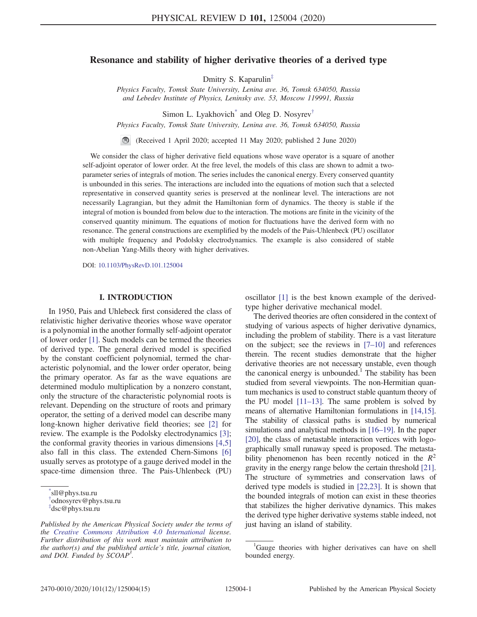# <span id="page-0-4"></span>Resonance and stability of higher derivative theories of a derived type

Dmitry S. Kaparulin[‡](#page-0-0)

Physics Faculty, Tomsk State University, Lenina ave. 36, Tomsk 634050, Russia and Lebedev Institute of Physics, Leninsky ave. 53, Moscow 119991, Russia

Simon L. Lyakhovich $*$  and Oleg D. Nosyrev $*$ 

Physics Faculty, Tomsk State University, Lenina ave. 36, Tomsk 634050, Russia

(Received 1 April 2020; accepted 11 May 2020; published 2 June 2020)

<span id="page-0-3"></span>We consider the class of higher derivative field equations whose wave operator is a square of another self-adjoint operator of lower order. At the free level, the models of this class are shown to admit a twoparameter series of integrals of motion. The series includes the canonical energy. Every conserved quantity is unbounded in this series. The interactions are included into the equations of motion such that a selected representative in conserved quantity series is preserved at the nonlinear level. The interactions are not necessarily Lagrangian, but they admit the Hamiltonian form of dynamics. The theory is stable if the integral of motion is bounded from below due to the interaction. The motions are finite in the vicinity of the conserved quantity minimum. The equations of motion for fluctuations have the derived form with no resonance. The general constructions are exemplified by the models of the Pais-Uhlenbeck (PU) oscillator with multiple frequency and Podolsky electrodynamics. The example is also considered of stable non-Abelian Yang-Mills theory with higher derivatives.

DOI: [10.1103/PhysRevD.101.125004](https://doi.org/10.1103/PhysRevD.101.125004)

## I. INTRODUCTION

In 1950, Pais and Uhlebeck first considered the class of relativistic higher derivative theories whose wave operator is a polynomial in the another formally self-adjoint operator of lower order [\[1\]](#page-13-0). Such models can be termed the theories of derived type. The general derived model is specified by the constant coefficient polynomial, termed the characteristic polynomial, and the lower order operator, being the primary operator. As far as the wave equations are determined modulo multiplication by a nonzero constant, only the structure of the characteristic polynomial roots is relevant. Depending on the structure of roots and primary operator, the setting of a derived model can describe many long-known higher derivative field theories; see [\[2\]](#page-13-1) for review. The example is the Podolsky electrodynamics [\[3\]](#page-13-2); the conformal gravity theories in various dimensions [\[4,5\]](#page-13-3) also fall in this class. The extended Chern-Simons [\[6\]](#page-13-4) usually serves as prototype of a gauge derived model in the space-time dimension three. The Pais-Uhlenbeck (PU)

<span id="page-0-1"></span>[\\*](#page-0-3) sll@phys.tsu.ru

oscillator [\[1\]](#page-13-0) is the best known example of the derivedtype higher derivative mechanical model.

The derived theories are often considered in the context of studying of various aspects of higher derivative dynamics, including the problem of stability. There is a vast literature on the subject; see the reviews in [7–[10\]](#page-13-5) and references therein. The recent studies demonstrate that the higher derivative theories are not necessary unstable, even though the canonical energy is unbounded.<sup>1</sup> The stability has been studied from several viewpoints. The non-Hermitian quantum mechanics is used to construct stable quantum theory of the PU model [\[11](#page-13-6)–13]. The same problem is solved by means of alternative Hamiltonian formulations in [\[14,15\]](#page-13-7). The stability of classical paths is studied by numerical simulations and analytical methods in [\[16](#page-13-8)–19]. In the paper [\[20\],](#page-13-9) the class of metastable interaction vertices with logographically small runaway speed is proposed. The metastability phenomenon has been recently noticed in the  $R^2$ gravity in the energy range below the certain threshold [\[21\]](#page-13-10). The structure of symmetries and conservation laws of derived type models is studied in [\[22,23\]](#page-13-11). It is shown that the bounded integrals of motion can exist in these theories that stabilizes the higher derivative dynamics. This makes the derived type higher derivative systems stable indeed, not just having an island of stability.

<span id="page-0-2"></span>[<sup>†</sup>](#page-0-3) odnosyrev@phys.tsu.ru

<span id="page-0-0"></span>[<sup>‡</sup>](#page-0-4) dsc@phys.tsu.ru

Published by the American Physical Society under the terms of the [Creative Commons Attribution 4.0 International](https://creativecommons.org/licenses/by/4.0/) license. Further distribution of this work must maintain attribution to the author(s) and the published article's title, journal citation, and DOI. Funded by SCOAP<sup>3</sup>.

<sup>&</sup>lt;sup>1</sup>Gauge theories with higher derivatives can have on shell bounded energy.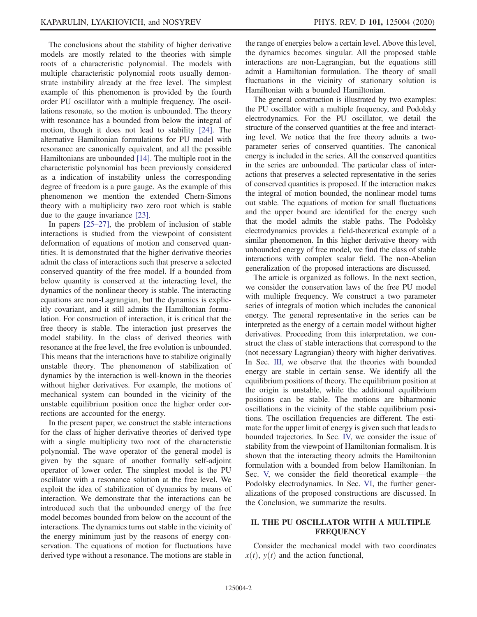The conclusions about the stability of higher derivative models are mostly related to the theories with simple roots of a characteristic polynomial. The models with multiple characteristic polynomial roots usually demonstrate instability already at the free level. The simplest example of this phenomenon is provided by the fourth order PU oscillator with a multiple frequency. The oscillations resonate, so the motion is unbounded. The theory with resonance has a bounded from below the integral of motion, though it does not lead to stability [\[24\].](#page-13-12) The alternative Hamiltonian formulations for PU model with resonance are canonically equivalent, and all the possible Hamiltonians are unbounded [\[14\].](#page-13-7) The multiple root in the characteristic polynomial has been previously considered as a indication of instability unless the corresponding degree of freedom is a pure gauge. As the example of this phenomenon we mention the extended Chern-Simons theory with a multiplicity two zero root which is stable due to the gauge invariance [\[23\].](#page-13-13)

In papers [\[25](#page-13-14)–27], the problem of inclusion of stable interactions is studied from the viewpoint of consistent deformation of equations of motion and conserved quantities. It is demonstrated that the higher derivative theories admit the class of interactions such that preserve a selected conserved quantity of the free model. If a bounded from below quantity is conserved at the interacting level, the dynamics of the nonlinear theory is stable. The interacting equations are non-Lagrangian, but the dynamics is explicitly covariant, and it still admits the Hamiltonian formulation. For construction of interaction, it is critical that the free theory is stable. The interaction just preserves the model stability. In the class of derived theories with resonance at the free level, the free evolution is unbounded. This means that the interactions have to stabilize originally unstable theory. The phenomenon of stabilization of dynamics by the interaction is well-known in the theories without higher derivatives. For example, the motions of mechanical system can bounded in the vicinity of the unstable equilibrium position once the higher order corrections are accounted for the energy.

In the present paper, we construct the stable interactions for the class of higher derivative theories of derived type with a single multiplicity two root of the characteristic polynomial. The wave operator of the general model is given by the square of another formally self-adjoint operator of lower order. The simplest model is the PU oscillator with a resonance solution at the free level. We exploit the idea of stabilization of dynamics by means of interaction. We demonstrate that the interactions can be introduced such that the unbounded energy of the free model becomes bounded from below on the account of the interactions. The dynamics turns out stable in the vicinity of the energy minimum just by the reasons of energy conservation. The equations of motion for fluctuations have derived type without a resonance. The motions are stable in

the range of energies below a certain level. Above this level, the dynamics becomes singular. All the proposed stable interactions are non-Lagrangian, but the equations still admit a Hamiltonian formulation. The theory of small fluctuations in the vicinity of stationary solution is Hamiltonian with a bounded Hamiltonian.

The general construction is illustrated by two examples: the PU oscillator with a multiple frequency, and Podolsky electrodynamics. For the PU oscillator, we detail the structure of the conserved quantities at the free and interacting level. We notice that the free theory admits a twoparameter series of conserved quantities. The canonical energy is included in the series. All the conserved quantities in the series are unbounded. The particular class of interactions that preserves a selected representative in the series of conserved quantities is proposed. If the interaction makes the integral of motion bounded, the nonlinear model turns out stable. The equations of motion for small fluctuations and the upper bound are identified for the energy such that the model admits the stable paths. The Podolsky electrodynamics provides a field-theoretical example of a similar phenomenon. In this higher derivative theory with unbounded energy of free model, we find the class of stable interactions with complex scalar field. The non-Abelian generalization of the proposed interactions are discussed.

The article is organized as follows. In the next section, we consider the conservation laws of the free PU model with multiple frequency. We construct a two parameter series of integrals of motion which includes the canonical energy. The general representative in the series can be interpreted as the energy of a certain model without higher derivatives. Proceeding from this interpretation, we construct the class of stable interactions that correspond to the (not necessary Lagrangian) theory with higher derivatives. In Sec. [III,](#page-3-0) we observe that the theories with bounded energy are stable in certain sense. We identify all the equilibrium positions of theory. The equilibrium position at the origin is unstable, while the additional equilibrium positions can be stable. The motions are biharmonic oscillations in the vicinity of the stable equilibrium positions. The oscillation frequencies are different. The estimate for the upper limit of energy is given such that leads to bounded trajectories. In Sec. [IV,](#page-7-0) we consider the issue of stability from the viewpoint of Hamiltonian formalism. It is shown that the interacting theory admits the Hamiltonian formulation with a bounded from below Hamiltonian. In Sec. [V,](#page-9-0) we consider the field theoretical example—the Podolsky electrodynamics. In Sec. [VI](#page-12-0), the further generalizations of the proposed constructions are discussed. In the Conclusion, we summarize the results.

## II. THE PU OSCILLATOR WITH A MULTIPLE **FREQUENCY**

<span id="page-1-0"></span>Consider the mechanical model with two coordinates  $x(t)$ ,  $y(t)$  and the action functional,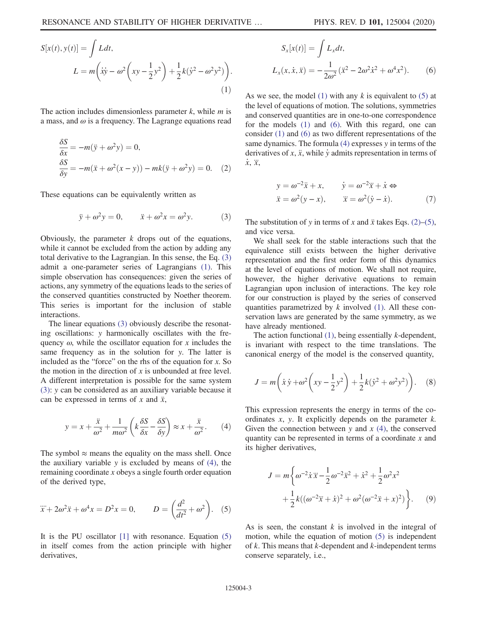$$
S[x(t), y(t)] = \int Ldt,
$$
  
\n
$$
L = m\left(\dot{xy} - \omega^2 \left(xy - \frac{1}{2}y^2\right) + \frac{1}{2}k(\dot{y}^2 - \omega^2 y^2)\right).
$$
\n(1)

<span id="page-2-4"></span>The action includes dimensionless parameter  $k$ , while  $m$  is a mass, and  $\omega$  is a frequency. The Lagrange equations read

$$
\frac{\delta S}{\delta x} = -m(\ddot{y} + \omega^2 y) = 0,
$$
  
\n
$$
\frac{\delta S}{\delta y} = -m(\ddot{x} + \omega^2(x - y)) - mk(\ddot{y} + \omega^2 y) = 0.
$$
 (2)

<span id="page-2-0"></span>These equations can be equivalently written as

$$
\ddot{y} + \omega^2 y = 0, \qquad \ddot{x} + \omega^2 x = \omega^2 y. \tag{3}
$$

Obviously, the parameter  $k$  drops out of the equations, while it cannot be excluded from the action by adding any total derivative to the Lagrangian. In this sense, the Eq. [\(3\)](#page-2-0) admit a one-parameter series of Lagrangians [\(1\)](#page-1-0). This simple observation has consequences: given the series of actions, any symmetry of the equations leads to the series of the conserved quantities constructed by Noether theorem. This series is important for the inclusion of stable interactions.

The linear equations [\(3\)](#page-2-0) obviously describe the resonating oscillations: y harmonically oscillates with the frequency  $\omega$ , while the oscillator equation for x includes the same frequency as in the solution for y. The latter is included as the "force" on the rhs of the equation for  $x$ . So the motion in the direction of  $x$  is unbounded at free level. A different interpretation is possible for the same system [\(3\)](#page-2-0): y can be considered as an auxiliary variable because it can be expressed in terms of x and  $\ddot{x}$ ,

<span id="page-2-1"></span>
$$
y = x + \frac{\ddot{x}}{\omega^2} + \frac{1}{m\omega^2} \left( k \frac{\delta S}{\delta x} - \frac{\delta S}{\delta y} \right) \approx x + \frac{\ddot{x}}{\omega^2}.
$$
 (4)

<span id="page-2-2"></span>The symbol  $\approx$  means the equality on the mass shell. Once the auxiliary variable  $y$  is excluded by means of  $(4)$ , the remaining coordinate x obeys a single fourth order equation of the derived type,  $\overline{a}$ 

<span id="page-2-3"></span>
$$
\dddot{x} + 2\omega^2 \ddot{x} + \omega^4 x = D^2 x = 0, \qquad D = \left(\frac{d^2}{dt^2} + \omega^2\right). \tag{5}
$$

It is the PU oscillator  $[1]$  with resonance. Equation  $(5)$ in itself comes from the action principle with higher derivatives,

$$
S_x[x(t)] = \int L_x dt,
$$
  
\n
$$
L_x(x, \dot{x}, \ddot{x}) = -\frac{1}{2\omega^2} (\ddot{x}^2 - 2\omega^2 \dot{x}^2 + \omega^4 x^2).
$$
 (6)

As we see, the model [\(1\)](#page-1-0) with any  $k$  is equivalent to [\(5\)](#page-2-2) at the level of equations of motion. The solutions, symmetries and conserved quantities are in one-to-one correspondence for the models [\(1\)](#page-1-0) and [\(6\)](#page-2-3). With this regard, one can consider [\(1\)](#page-1-0) and [\(6\)](#page-2-3) as two different representations of the same dynamics. The formula  $(4)$  expresses y in terms of the derivatives of x,  $\ddot{x}$ , while  $\dot{y}$  admits representation in terms of and  $\alpha$ <br>for  $\alpha$ <br>cons<br>same<br>deriv<br> $\dot{x}, \ddot{x}, \ddot{x}$ amics. The formula (4) expresses y in<br>s of x, x, while y admits representation<br> $y = \omega^{-2}x + x$ ,  $y = \omega^{-2}x + x \Leftrightarrow$ 

$$
y = \omega^{-2}\ddot{x} + x, \quad \dot{y} = \omega^{-2}\ddot{x} + \dot{x} \Leftrightarrow
$$
  
\n
$$
\ddot{y} = \omega^{-2}\ddot{x} + x, \quad \dot{y} = \omega^{-2}\ddot{x} + \dot{x} \Leftrightarrow
$$
  
\n
$$
\ddot{x} = \omega^2(y - x), \quad \ddot{x} = \omega^2(\dot{y} - \dot{x}). \tag{7}
$$

The substitution of y in terms of x and  $\ddot{x}$  takes Eqs. [\(2\)](#page-2-4)–[\(5\)](#page-2-2), and vice versa.

We shall seek for the stable interactions such that the equivalence still exists between the higher derivative representation and the first order form of this dynamics at the level of equations of motion. We shall not require, however, the higher derivative equations to remain Lagrangian upon inclusion of interactions. The key role for our construction is played by the series of conserved quantities parametrized by  $k$  involved [\(1\).](#page-1-0) All these conservation laws are generated by the same symmetry, as we have already mentioned.

<span id="page-2-5"></span>The action functional  $(1)$ , being essentially *k*-dependent, is invariant with respect to the time translations. The canonical energy of the model is the conserved quantity,

$$
J = m\left(\dot{x}\,\dot{y} + \omega^2\left(xy - \frac{1}{2}y^2\right) + \frac{1}{2}k(\dot{y}^2 + \omega^2y^2)\right). \tag{8}
$$

<span id="page-2-6"></span>This expression represents the energy in terms of the coordinates  $x$ ,  $y$ . It explicitly depends on the parameter  $k$ . Given the connection between  $y$  and  $x$  [\(4\),](#page-2-1) the conserved Given the connection between y and x (4), the conserved<br>quantity can be represented in terms of a coordinate x and<br>its higher derivatives,<br> $J = m \left\{ \omega^{-2} \dot{x} \ddot{x} - \frac{1}{2} \omega^{-2} \dot{x}^2 + \dot{x}^2 + \frac{1}{2} \omega^2 x^2 \right\}$ its higher derivatives,

$$
J = m \left\{ \omega^{-2} \dot{x} \ddot{x} - \frac{1}{2} \omega^{-2} \dot{x}^2 + \dot{x}^2 + \frac{1}{2} \omega^2 x^2 + \frac{1}{2} k ((\omega^{-2} \ddot{x} + \dot{x})^2 + \omega^2 (\omega^{-2} \ddot{x} + x)^2) \right\}.
$$
 (9)

<span id="page-2-7"></span>As is seen, the constant  $k$  is involved in the integral of motion, while the equation of motion [\(5\)](#page-2-2) is independent of  $k$ . This means that  $k$ -dependent and  $k$ -independent terms conserve separately, i.e.,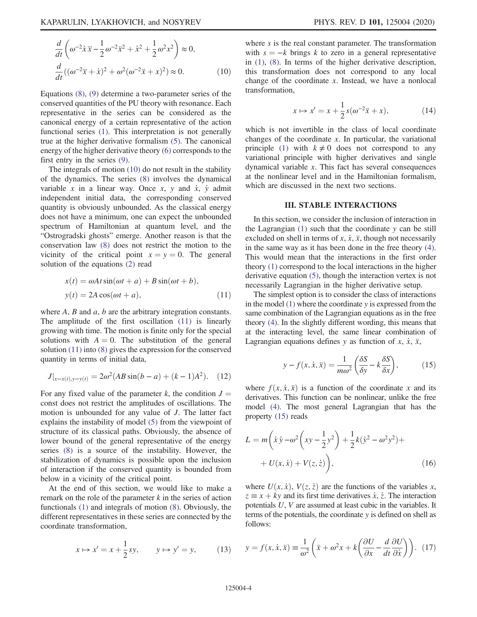PARULIN, LYAKHOVICH, and NOSYREV  
\n
$$
\frac{d}{dt}\left(\omega^{-2}\ddot{x}\ddot{x} - \frac{1}{2}\omega^{-2}\ddot{x}^2 + \dot{x}^2 + \frac{1}{2}\omega^2x^2\right) \approx 0,
$$
\n
$$
\frac{d}{dt}\left((\omega^{-2}\ddot{x} + \dot{x})^2 + \omega^2(\omega^{-2}\ddot{x} + x)^2\right) \approx 0.
$$
\n(10)

Equations [\(8\),](#page-2-5) [\(9\)](#page-2-6) determine a two-parameter series of the conserved quantities of the PU theory with resonance. Each representative in the series can be considered as the canonical energy of a certain representative of the action functional series [\(1\).](#page-1-0) This interpretation is not generally true at the higher derivative formalism [\(5\)](#page-2-2). The canonical energy of the higher derivative theory [\(6\)](#page-2-3) corresponds to the first entry in the series [\(9\)](#page-2-6).

The integrals of motion [\(10\)](#page-2-7) do not result in the stability of the dynamics. The series [\(8\)](#page-2-5) involves the dynamical variable x in a linear way. Once x, y and  $\dot{x}$ ,  $\dot{y}$  admit independent initial data, the corresponding conserved quantity is obviously unbounded. As the classical energy does not have a minimum, one can expect the unbounded spectrum of Hamiltonian at quantum level, and the "Ostrogradski ghosts" emerge. Another reason is that the conservation law [\(8\)](#page-2-5) does not restrict the motion to the vicinity of the critical point  $x = y = 0$ . The general solution of the equations [\(2\)](#page-2-4) read

<span id="page-3-1"></span>
$$
x(t) = \omega A t \sin(\omega t + a) + B \sin(\omega t + b),
$$
  
\n
$$
y(t) = 2A \cos(\omega t + a),
$$
\n(11)

where  $A$ ,  $B$  and  $a$ ,  $b$  are the arbitrary integration constants. The amplitude of the first oscillation [\(11\)](#page-3-1) is linearly growing with time. The motion is finite only for the special solutions with  $A = 0$ . The substitution of the general solution [\(11\)](#page-3-1) into [\(8\)](#page-2-5) gives the expression for the conserved quantity in terms of initial data,

$$
J|_{x=x(t),y=y(t)} = 2\omega^2 (AB\sin(b-a) + (k-1)A^2). \quad (12)
$$

For any fixed value of the parameter k, the condition  $J =$ const does not restrict the amplitudes of oscillations. The motion is unbounded for any value of J. The latter fact explains the instability of model [\(5\)](#page-2-2) from the viewpoint of structure of its classical paths. Obviously, the absence of lower bound of the general representative of the energy series [\(8\)](#page-2-5) is a source of the instability. However, the stabilization of dynamics is possible upon the inclusion of interaction if the conserved quantity is bounded from below in a vicinity of the critical point.

<span id="page-3-4"></span>At the end of this section, we would like to make a remark on the role of the parameter  $k$  in the series of action functionals [\(1\)](#page-1-0) and integrals of motion [\(8\)](#page-2-5). Obviously, the different representatives in these series are connected by the coordinate transformation,

<span id="page-3-6"></span>where s is the real constant parameter. The transformation with  $s = -k$  brings k to zero in a general representative in [\(1\)](#page-1-0), [\(8\)](#page-2-5). In terms of the higher derivative description, this transformation does not correspond to any local change of the coordinate  $x$ . Instead, we have a nonlocal transformation,

$$
x \mapsto x' = x + \frac{1}{2}s(\omega^{-2}\ddot{x} + x),
$$
 (14)

which is not invertible in the class of local coordinate changes of the coordinate  $x$ . In particular, the variational principle [\(1\)](#page-1-0) with  $k \neq 0$  does not correspond to any variational principle with higher derivatives and single dynamical variable  $x$ . This fact has several consequences at the nonlinear level and in the Hamiltonian formalism, which are discussed in the next two sections.

## III. STABLE INTERACTIONS

<span id="page-3-0"></span>In this section, we consider the inclusion of interaction in the Lagrangian  $(1)$  such that the coordinate  $y$  can be still excluded on shell in terms of x,  $\dot{x}$ ,  $\ddot{x}$ , though not necessarily in the same way as it has been done in the free theory [\(4\)](#page-2-1). This would mean that the interactions in the first order theory [\(1\)](#page-1-0) correspond to the local interactions in the higher derivative equation [\(5\)](#page-2-2), though the interaction vertex is not necessarily Lagrangian in the higher derivative setup.

<span id="page-3-2"></span>The simplest option is to consider the class of interactions in the model  $(1)$  where the coordinate y is expressed from the same combination of the Lagrangian equations as in the free theory [\(4\).](#page-2-1) In the slightly different wording, this means that at the interacting level, the same linear combination of Lagrangian equations defines y as function of x,  $\dot{x}$ ,  $\ddot{x}$ ,

$$
y - f(x, \dot{x}, \ddot{x}) = \frac{1}{m\omega^2} \left( \frac{\delta S}{\delta y} - k \frac{\delta S}{\delta x} \right),\tag{15}
$$

<span id="page-3-5"></span>where  $f(x, \dot{x}, \ddot{x})$  is a function of the coordinate x and its derivatives. This function can be nonlinear, unlike the free model [\(4\).](#page-2-1) The most general Lagrangian that has the property [\(15\)](#page-3-2) reads

$$
L = m\left(\dot{x}\,\dot{y} - \omega^2\left(xy - \frac{1}{2}y^2\right) + \frac{1}{2}k(\dot{y}^2 - \omega^2y^2) + \right.
$$
  
+  $U(x, \dot{x}) + V(z, \dot{z})$  (16)

<span id="page-3-3"></span>where  $U(x, \dot{x})$ ,  $V(z, \dot{z})$  are the functions of the variables x,  $z \equiv x + ky$  and its first time derivatives  $\dot{x}, \dot{z}$ . The interaction potentials U, V are assumed at least cubic in the variables. It terms of the potentials, the coordinate y is defined on shell as follows:

$$
x \mapsto x' = x + \frac{1}{2}sy, \qquad y \mapsto y' = y, \qquad (13) \qquad y = f(x, \dot{x}, \ddot{x}) \equiv \frac{1}{\omega^2} \left( \ddot{x} + \omega^2 x + k \left( \frac{\partial U}{\partial x} - \frac{d}{dt} \frac{\partial U}{\partial \dot{x}} \right) \right). \tag{17}
$$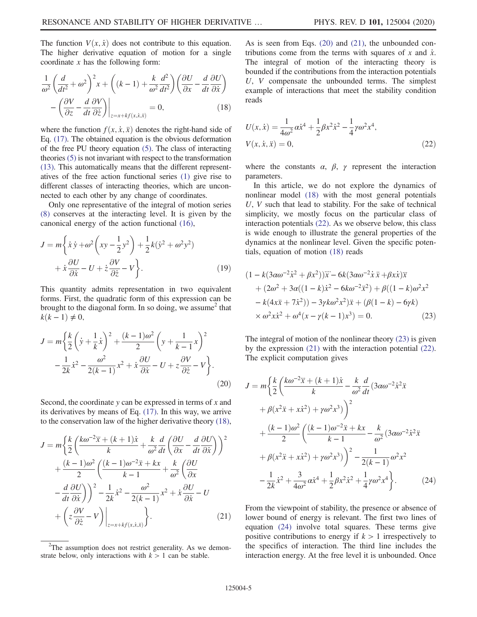<span id="page-4-0"></span>The function  $V(x, \dot{x})$  does not contribute to this equation. The higher derivative equation of motion for a single coordinate  $x$  has the following form:

$$
\frac{1}{\omega^2} \left( \frac{d}{dt^2} + \omega^2 \right)^2 x + \left( (k - 1) + \frac{k}{\omega^2} \frac{d^2}{dt^2} \right) \left( \frac{\partial U}{\partial x} - \frac{d}{dt} \frac{\partial U}{\partial \dot{x}} \right) - \left( \frac{\partial V}{\partial z} - \frac{d}{dt} \frac{\partial V}{\partial \dot{z}} \right) \Big|_{z = x + kf(x, \dot{x}, \ddot{x})} = 0,
$$
\n(18)

where the function  $f(x, \dot{x}, \ddot{x})$  denotes the right-hand side of Eq. [\(17\).](#page-3-3) The obtained equation is the obvious deformation of the free PU theory equation [\(5\)](#page-2-2). The class of interacting theories [\(5\)](#page-2-2) is not invariant with respect to the transformation [\(13\).](#page-3-4) This automatically means that the different representatives of the free action functional series [\(1\)](#page-1-0) give rise to different classes of interacting theories, which are unconnected to each other by any change of coordinates.

Only one representative of the integral of motion series [\(8\)](#page-2-5) conserves at the interacting level. It is given by the canonical energy of the action functional [\(16\),](#page-3-5)

$$
J = m\left\{\dot{x}\dot{y} + \omega^2 \left(xy - \frac{1}{2}y^2\right) + \frac{1}{2}k(\dot{y}^2 + \omega^2 y^2) + \dot{x}\frac{\partial U}{\partial \dot{x}} - U + \dot{z}\frac{\partial V}{\partial \dot{z}} - V\right\}.
$$
 (19)

This quantity admits representation in two equivalent forms. First, the quadratic form of this expression can be brought to the diagonal form. In so doing, we assume  $2$  that  $k(k-1) \neq 0$ ,

<span id="page-4-1"></span>
$$
J = m\left\{\frac{k}{2}\left(\dot{y} + \frac{1}{k}\dot{x}\right)^2 + \frac{(k-1)\omega^2}{2}\left(y + \frac{1}{k-1}x\right)^2 - \frac{1}{2k}\dot{x}^2 - \frac{\omega^2}{2(k-1)}x^2 + \dot{x}\frac{\partial U}{\partial \dot{x}} - U + z\frac{\partial V}{\partial \dot{z}} - V\right\}.
$$
\n(20)

<span id="page-4-2"></span>Second, the coordinate y can be expressed in terms of x and<br>its derivatives by means of Eq. (17). In this way, we arrive<br>to the conservation law of the higher derivative theory (18),<br> $J = m \left\{ \frac{k}{2} \left( \frac{k\omega^{-2} \ddot{x} + (k+1)\dot{x$ its derivatives by means of Eq. [\(17\)](#page-3-3). In this way, we arrive to the conservation law of the higher derivative theory [\(18\)](#page-4-0),

$$
J = m\left\{\frac{k}{2}\left(\frac{k\omega^{-2}\ddot{x} + (k+1)\dot{x}}{k} + \frac{k}{\omega^{2}}\frac{d}{dt}\left(\frac{\partial U}{\partial x} - \frac{d}{dt}\frac{\partial U}{\partial \dot{x}}\right)\right)^{2} + \frac{(k-1)\omega^{2}}{2}\left(\frac{(k-1)\omega^{-2}\ddot{x} + kx}{k-1} + \frac{k}{\omega^{2}}\left(\frac{\partial U}{\partial x}\right)\right)^{2} - \frac{1}{2k}\dot{x}^{2} - \frac{\omega^{2}}{2(k-1)}x^{2} + \dot{x}\frac{\partial U}{\partial \dot{x}} - U + \left(z\frac{\partial V}{\partial \dot{z}} - V\right)\Big|_{z=x+kf(x,\dot{x},\dot{x})}\right\}.
$$
 (21)

As is seen from Eqs. [\(20\)](#page-4-1) and [\(21\),](#page-4-2) the unbounded contributions come from the terms with squares of x and  $\dot{x}$ . The integral of motion of the interacting theory is bounded if the contributions from the interaction potentials U, V compensate the unbounded terms. The simplest example of interactions that meet the stability condition reads

<span id="page-4-3"></span>
$$
U(x, \dot{x}) = \frac{1}{4\omega^2} \alpha \dot{x}^4 + \frac{1}{2} \beta x^2 \dot{x}^2 - \frac{1}{4} \gamma \omega^2 x^4,
$$
  
\n
$$
V(x, \dot{x}, \ddot{x}) = 0,
$$
\n(22)

where the constants  $\alpha$ ,  $\beta$ ,  $\gamma$  represent the interaction parameters.

In this article, we do not explore the dynamics of nonlinear model [\(18\)](#page-4-0) with the most general potentials  $U, V$  such that lead to stability. For the sake of technical simplicity, we mostly focus on the particular class of interaction potentials [\(22\)](#page-4-3). As we observe below, this class is wide enough to illustrate the general properties of the<br>dynamics at the nonlinear level. Given the specific poten-<br>tials, equation of motion (18) reads<br> $(1 - k(3\alpha\omega^{-2}\dot{x}^2 + \beta x^2))\ddot{x} - 6k(3\alpha\omega^{-2}\dot{x}\ddot{x} + \beta x\dot{x})\ddot{x}$ dynamics at the nonlinear level. Given the specific potentials, equation of motion [\(18\)](#page-4-0) reads

<span id="page-4-4"></span>
$$
(1 - k(3\alpha\omega^{-2}\dot{x}^2 + \beta x^2))\ddot{x} - 6k(3\alpha\omega^{-2}\dot{x}\ddot{x} + \beta x\dot{x})\ddot{x} + (2\omega^2 + 3\alpha((1 - k)\dot{x}^2 - 6k\omega^{-2}\ddot{x}^2) + \beta((1 - k)\omega^2 x^2) - k(4x\ddot{x} + 7\dot{x}^2)) - 3\gamma k\omega^2 x^2)\ddot{x} + (\beta(1 - k) - 6\gamma k) \times \omega^2 x\dot{x}^2 + \omega^4(x - \gamma(k - 1)x^3) = 0.
$$
 (23)

<span id="page-4-5"></span>The integral of motion of the nonlinear theory [\(23\)](#page-4-4) is given<br>by the expression (21) with the interaction potential (22).<br>The explicit computation gives<br> $J = m\left\{\frac{k}{2}\left(\frac{k\omega^{-2}\ddot{x} + (k+1)\dot{x}}{h} - \frac{k}{\omega^2}\frac{d}{dt}(3\alpha\omega^{-2}\dot{x}^2\dd$ by the expression [\(21\)](#page-4-2) with the interaction potential [\(22\)](#page-4-3). The explicit computation gives

$$
J = m\left\{\frac{k}{2}\left(\frac{k\omega^{-2}\ddot{x} + (k+1)\dot{x}}{k} - \frac{k}{\omega^{2}}\frac{d}{dt}(3\alpha\omega^{-2}\dot{x}^{2}\dot{x} + \beta(x^{2}\ddot{x} + x\dot{x}^{2}) + \gamma\omega^{2}x^{3})\right)^{2} + \frac{(k-1)\omega^{2}}{2}\left(\frac{(k-1)\omega^{-2}\ddot{x} + kx}{k-1} - \frac{k}{\omega^{2}}(3\alpha\omega^{-2}\dot{x}^{2}\ddot{x} + \beta(x^{2}\ddot{x} + x\dot{x}^{2}) + \gamma\omega^{2}x^{3})\right)^{2} - \frac{1}{2(k-1)}\omega^{2}x^{2} - \frac{1}{2k}\dot{x}^{2} + \frac{3}{4\omega^{2}}\alpha\dot{x}^{4} + \frac{1}{2}\beta x^{2}\dot{x}^{2} + \frac{1}{4}\gamma\omega^{2}x^{4}\right\}.
$$
 (24)

From the viewpoint of stability, the presence or absence of lower bound of energy is relevant. The first two lines of equation [\(24\)](#page-4-5) involve total squares. These terms give positive contributions to energy if  $k > 1$  irrespectively to the specifics of interaction. The third line includes the interaction energy. At the free level it is unbounded. Once

 $2$ The assumption does not restrict generality. As we demonstrate below, only interactions with  $k > 1$  can be stable.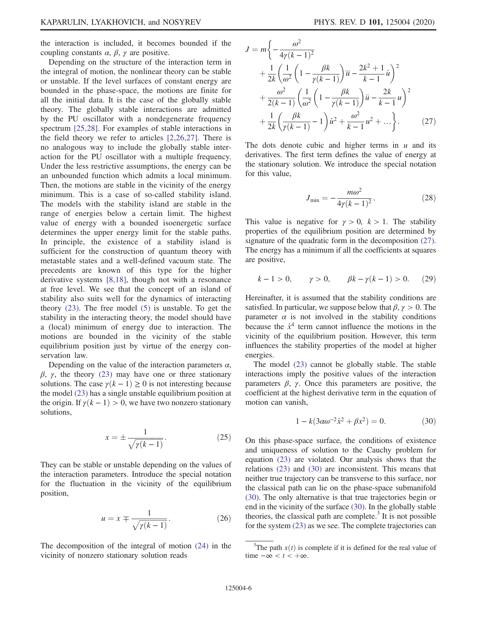the interaction is included, it becomes bounded if the coupling constants  $\alpha$ ,  $\beta$ ,  $\gamma$  are positive.

Depending on the structure of the interaction term in the integral of motion, the nonlinear theory can be stable or unstable. If the level surfaces of constant energy are bounded in the phase-space, the motions are finite for all the initial data. It is the case of the globally stable theory. The globally stable interactions are admitted by the PU oscillator with a nondegenerate frequency spectrum [\[25,28\].](#page-13-14) For examples of stable interactions in the field theory we refer to articles  $[2,26,27]$ . There is no analogous way to include the globally stable interaction for the PU oscillator with a multiple frequency. Under the less restrictive assumptions, the energy can be an unbounded function which admits a local minimum. Then, the motions are stable in the vicinity of the energy minimum. This is a case of so-called stability island. The models with the stability island are stable in the range of energies below a certain limit. The highest value of energy with a bounded isoenergetic surface determines the upper energy limit for the stable paths. In principle, the existence of a stability island is sufficient for the construction of quantum theory with metastable states and a well-defined vacuum state. The precedents are known of this type for the higher derivative systems [\[8,18\]](#page-13-15), though not with a resonance at free level. We see that the concept of an island of stability also suits well for the dynamics of interacting theory [\(23\)](#page-4-4). The free model [\(5\)](#page-2-2) is unstable. To get the stability in the interacting theory, the model should have a (local) minimum of energy due to interaction. The motions are bounded in the vicinity of the stable equilibrium position just by virtue of the energy conservation law.

<span id="page-5-2"></span>Depending on the value of the interaction parameters  $\alpha$ ,  $β$ , γ, the theory [\(23\)](#page-4-4) may have one or three stationary solutions. The case  $\gamma(k-1) \geq 0$  is not interesting because the model [\(23\)](#page-4-4) has a single unstable equilibrium position at the origin. If  $\gamma(k - 1) > 0$ , we have two nonzero stationary solutions,

$$
x = \pm \frac{1}{\sqrt{\gamma(k-1)}}.\tag{25}
$$

They can be stable or unstable depending on the values of the interaction parameters. Introduce the special notation for the fluctuation in the vicinity of the equilibrium position,

$$
u = x \mp \frac{1}{\sqrt{\gamma(k-1)}}.\tag{26}
$$

<span id="page-5-0"></span>The decomposition of the integral of motion [\(24\)](#page-4-5) in the vicinity of nonzero stationary solution reads

$$
J = m \left\{ -\frac{\omega^2}{4\gamma(k-1)^2} + \frac{1}{2k} \left( \frac{1}{\omega^2} \left( 1 - \frac{\beta k}{\gamma(k-1)} \right) \ddot{u} - \frac{2k^2 + 1}{k-1} \dot{u} \right)^2 + \frac{\omega^2}{2(k-1)} \left( \frac{1}{\omega^2} \left( 1 - \frac{\beta k}{\gamma(k-1)} \right) \ddot{u} - \frac{2k}{k-1} u \right)^2 + \frac{1}{2k} \left( \frac{\beta k}{\gamma(k-1)} - 1 \right) \dot{u}^2 + \frac{\omega^2}{k-1} u^2 + \dots \right\}.
$$
 (27)

<span id="page-5-4"></span>The dots denote cubic and higher terms in  $u$  and its derivatives. The first term defines the value of energy at the stationary solution. We introduce the special notation for this value,

$$
J_{\min} = -\frac{m\omega^2}{4\gamma(k-1)^2}.
$$
 (28)

This value is negative for  $\gamma > 0$ ,  $k > 1$ . The stability properties of the equilibrium position are determined by signature of the quadratic form in the decomposition [\(27\)](#page-5-0). The energy has a minimum if all the coefficients at squares are positive,

<span id="page-5-3"></span>
$$
k-1 > 0
$$
,  $\gamma > 0$ ,  $\beta k - \gamma(k-1) > 0$ . (29)

Hereinafter, it is assumed that the stability conditions are satisfied. In particular, we suppose below that  $\beta$ ,  $\gamma > 0$ . The parameter  $\alpha$  is not involved in the stability conditions because the  $\dot{x}^4$  term cannot influence the motions in the vicinity of the equilibrium position. However, this term influences the stability properties of the model at higher energies.

<span id="page-5-1"></span>The model [\(23\)](#page-4-4) cannot be globally stable. The stable interactions imply the positive values of the interaction parameters  $\beta$ ,  $\gamma$ . Once this parameters are positive, the coefficient at the highest derivative term in the equation of motion can vanish,

$$
1 - k(3\alpha\omega^{-2}\dot{x}^2 + \beta x^2) = 0.
$$
 (30)

On this phase-space surface, the conditions of existence and uniqueness of solution to the Cauchy problem for equation [\(23\)](#page-4-4) are violated. Our analysis shows that the relations [\(23\)](#page-4-4) and [\(30\)](#page-5-1) are inconsistent. This means that neither true trajectory can be transverse to this surface, nor the classical path can lie on the phase-space submanifold [\(30\)](#page-5-1). The only alternative is that true trajectories begin or end in the vicinity of the surface [\(30\)](#page-5-1). In the globally stable theories, the classical path are complete. $\beta$  It is not possible for the system [\(23\)](#page-4-4) as we see. The complete trajectories can

<sup>&</sup>lt;sup>3</sup>The path  $x(t)$  is complete if it is defined for the real value of  $e - \infty < t < +\infty$ . time  $-\infty < t < +\infty$ .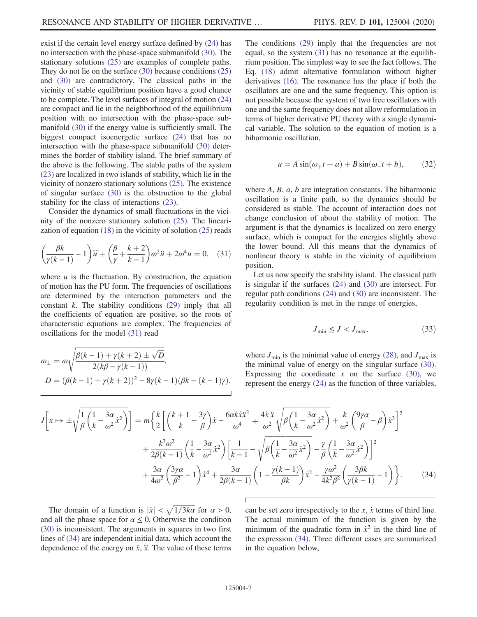exist if the certain level energy surface defined by [\(24\)](#page-4-5) has no intersection with the phase-space submanifold [\(30\).](#page-5-1) The stationary solutions [\(25\)](#page-5-2) are examples of complete paths. They do not lie on the surface [\(30\)](#page-5-1) because conditions [\(25\)](#page-5-2) and [\(30\)](#page-5-1) are contradictory. The classical paths in the vicinity of stable equilibrium position have a good chance to be complete. The level surfaces of integral of motion [\(24\)](#page-4-5) are compact and lie in the neighborhood of the equilibrium position with no intersection with the phase-space submanifold [\(30\)](#page-5-1) if the energy value is sufficiently small. The biggest compact isoenergetic surface [\(24\)](#page-4-5) that has no intersection with the phase-space submanifold [\(30\)](#page-5-1) determines the border of stability island. The brief summary of the above is the following. The stable paths of the system [\(23\)](#page-4-4) are localized in two islands of stability, which lie in the vicinity of nonzero stationary solutions [\(25\).](#page-5-2) The existence of singular surface [\(30\)](#page-5-1) is the obstruction to the global stability for the class of interactions [\(23\)](#page-4-4).

<span id="page-6-0"></span>Consider the dynamics of small fluctuations in the vicinity of the nonzero stationary solution [\(25\)](#page-5-2). The linearization of equation [\(18\)](#page-4-0) in the vicinity of solution [\(25\)](#page-5-2) reads ⃜

$$
\left(\frac{\beta k}{\gamma(k-1)} - 1\right)\dddot{u} + \left(\frac{\beta}{\gamma} + \frac{k+2}{k-1}\right)\omega^2 \ddot{u} + 2\omega^4 u = 0, \quad (31)
$$

where  $u$  is the fluctuation. By construction, the equation of motion has the PU form. The frequencies of oscillations are determined by the interaction parameters and the constant  $k$ . The stability conditions [\(29\)](#page-5-3) imply that all the coefficients of equation are positive, so the roots of characteristic equations are complex. The frequencies of oscillations for the model [\(31\)](#page-6-0) read

$$
\omega_{\pm} = \omega \sqrt{\frac{\beta(k-1) + \gamma(k+2) \pm \sqrt{D}}{2(k\beta - \gamma(k-1))}},
$$
  

$$
D = (\beta(k-1) + \gamma(k+2))^2 - 8\gamma(k-1)(\beta k - (k-1)\gamma).
$$

The conditions [\(29\)](#page-5-3) imply that the frequencies are not equal, so the system [\(31\)](#page-6-0) has no resonance at the equilibrium position. The simplest way to see the fact follows. The Eq. [\(18\)](#page-4-0) admit alternative formulation without higher derivatives [\(16\)](#page-3-5). The resonance has the place if both the oscillators are one and the same frequency. This option is not possible because the system of two free oscillators with one and the same frequency does not allow reformulation in terms of higher derivative PU theory with a single dynamical variable. The solution to the equation of motion is a biharmonic oscillation,

$$
u = A\sin(\omega_+t + a) + B\sin(\omega_-t + b),\qquad(32)
$$

where  $A$ ,  $B$ ,  $a$ ,  $b$  are integration constants. The biharmonic oscillation is a finite path, so the dynamics should be considered as stable. The account of interaction does not change conclusion of about the stability of motion. The argument is that the dynamics is localized on zero energy surface, which is compact for the energies slightly above the lower bound. All this means that the dynamics of nonlinear theory is stable in the vicinity of equilibrium position.

<span id="page-6-2"></span>Let us now specify the stability island. The classical path is singular if the surfaces [\(24\)](#page-4-5) and [\(30\)](#page-5-1) are intersect. For regular path conditions [\(24\)](#page-4-5) and [\(30\)](#page-5-1) are inconsistent. The regularity condition is met in the range of energies,

$$
J_{\min} \leq J < J_{\max}, \tag{33}
$$

where  $J_{\text{min}}$  is the minimal value of energy [\(28\)](#page-5-4), and  $J_{\text{max}}$  is the minimal value of energy on the singular surface [\(30\)](#page-5-1). Expressing the coordinate x on the surface  $(30)$ , we represent the energy [\(24\)](#page-4-5) as the function of three variables,

<span id="page-6-1"></span>
$$
J\left[x \mapsto \pm \sqrt{\frac{1}{\beta} \left(\frac{1}{k} - \frac{3\alpha}{\omega^2} \dot{x}^2\right)}\right] = m\left\{\frac{k}{2} \left[\left(\frac{k+1}{k} - \frac{3\gamma}{\beta}\right) \dot{x} - \frac{6\alpha k \dot{x}^2}{\omega^4} \mp \frac{4\dot{x} \ddot{x}}{\omega^2} \sqrt{\beta \left(\frac{1}{k} - \frac{3\alpha}{\omega^2} \dot{x}^2\right)} + \frac{k}{\omega^2} \left(\frac{9\gamma\alpha}{\beta} - \beta\right) \dot{x}^3\right]^2 + \frac{k^3 \omega^2}{2\beta(k-1)} \left(\frac{1}{k} - \frac{3\alpha}{\omega^2} \dot{x}^2\right) \left[\frac{1}{k-1} - \sqrt{\beta \left(\frac{1}{k} - \frac{3\alpha}{\omega^2} \dot{x}^2\right)} - \frac{\gamma}{\beta} \left(\frac{1}{k} - \frac{3\alpha}{\omega^2} \dot{x}^2\right)\right]^2 + \frac{3\alpha}{4\omega^2} \left(\frac{3\gamma\alpha}{\beta^2} - 1\right) \dot{x}^4 + \frac{3\alpha}{2\beta(k-1)} \left(1 - \frac{\gamma(k-1)}{\beta k}\right) \dot{x}^2 - \frac{\gamma\omega^2}{4k^2\beta^2} \left(\frac{3\beta k}{\gamma(k-1)} - 1\right)\right\}.
$$
 (34)

The domain of a function is  $|\dot{x}| < \sqrt{1/3k\alpha}$  for  $\alpha > 0$ , d all the phase space for  $\alpha < 0$ , Otherwise the condition and all the phase space for  $\alpha \leq 0$ . Otherwise the condition [\(30\)](#page-5-1) is inconsistent. The arguments in squares in two first lines of [\(34\)](#page-6-1) are independent initial data, which account the dependence of the energy on  $\ddot{x}$ ,  $\dddot{x}$ . The value of these terms

can be set zero irrespectively to the  $x$ ,  $\dot{x}$  terms of third line. The actual minimum of the function is given by the minimum of the quadratic form in  $\dot{x}^2$  in the third line of the expression [\(34\)](#page-6-1). Three different cases are summarized in the equation below,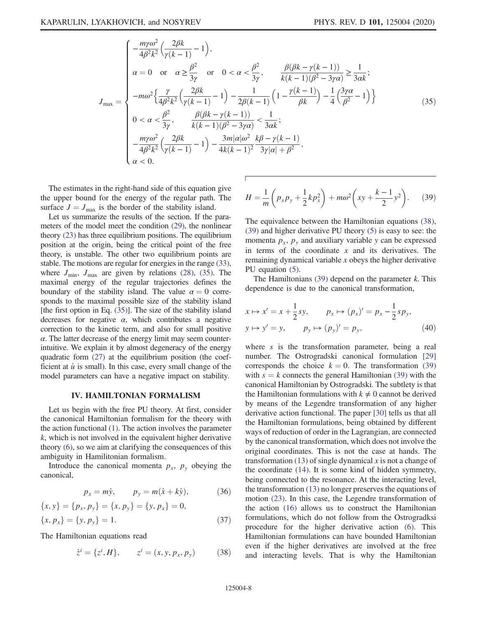<span id="page-7-1"></span>
$$
J_{\max} = \begin{cases}\n-\frac{m\gamma\omega^{2}}{4\beta^{2}k^{2}}\left(\frac{2\beta k}{\gamma(k-1)}-1\right),\\ \n\alpha = 0 \quad \text{or} \quad \alpha \ge \frac{\beta^{2}}{3\gamma} \quad \text{or} \quad 0 < \alpha < \frac{\beta^{2}}{3\gamma}, \qquad \frac{\beta(\beta k - \gamma(k-1))}{k(k-1)(\beta^{2} - 3\gamma\alpha)} \ge \frac{1}{3\alpha k};\\ \n-m\omega^{2}\left\{\frac{\gamma}{4\beta^{2}k^{2}}\left(\frac{2\beta k}{\gamma(k-1)}-1\right) - \frac{1}{2\beta(k-1)}\left(1 - \frac{\gamma(k-1)}{\beta k}\right) - \frac{1}{4}\left(\frac{3\gamma\alpha}{\beta^{2}}-1\right)\right\} \\ \n0 < \alpha < \frac{\beta^{2}}{3\gamma}, \qquad \frac{\beta(\beta k - \gamma(k-1))}{k(k-1)(\beta^{2} - 3\gamma\alpha)} < \frac{1}{3\alpha k};\\ \n-\frac{m\gamma\omega^{2}}{4\beta^{2}k^{2}}\left(\frac{2\beta k}{\gamma(k-1)}-1\right) - \frac{3m|\alpha|\omega^{2}}{4k(k-1)^{2}}\frac{k\beta - \gamma(k-1)}{3\gamma|\alpha| + \beta^{2}},\n\alpha < 0.\n\end{cases} \tag{35}
$$

The estimates in the right-hand side of this equation give the upper bound for the energy of the regular path. The surface  $J = J_{\text{max}}$  is the border of the stability island.

Let us summarize the results of the section. If the parameters of the model meet the condition [\(29\),](#page-5-3) the nonlinear theory [\(23\)](#page-4-4) has three equilibrium positions. The equilibrium position at the origin, being the critical point of the free theory, is unstable. The other two equilibrium points are stable. The motions are regular for energies in the range [\(33\)](#page-6-2), where  $J_{\text{min}}$ ,  $J_{\text{max}}$  are given by relations [\(28\)](#page-5-4), [\(35\)](#page-7-1). The maximal energy of the regular trajectories defines the boundary of the stability island. The value  $\alpha = 0$  corresponds to the maximal possible size of the stability island [the first option in Eq. [\(35\)\]](#page-7-1). The size of the stability island decreases for negative  $\alpha$ , which contributes a negative correction to the kinetic term, and also for small positive  $\alpha$ . The latter decrease of the energy limit may seem counterintuitive. We explain it by almost degeneracy of the energy quadratic form [\(27\)](#page-5-0) at the equilibrium position (the coefficient at  $\dot{u}$  is small). In this case, every small change of the model parameters can have a negative impact on stability.

#### IV. HAMILTONIAN FORMALISM

<span id="page-7-0"></span>Let us begin with the free PU theory. At first, consider the canonical Hamiltonian formalism for the theory with the action functional [\(1\).](#page-1-0) The action involves the parameter k, which is not involved in the equivalent higher derivative theory [\(6\)](#page-2-3), so we aim at clarifying the consequences of this ambiguity in Hamilitonian formalism.

Introduce the canonical momenta  $p_x$ ,  $p_y$  obeying the canonical,

$$
p_x = m\dot{y}, \qquad p_y = m(\dot{x} + k\dot{y}), \tag{36}
$$

$$
\{x, y\} = \{p_x, p_y\} = \{x, p_y\} = \{y, p_x\} = 0,
$$
  

$$
\{x, p_x\} = \{y, p_y\} = 1.
$$
 (37)

<span id="page-7-2"></span>The Hamiltonian equations read

$$
\dot{z}^i = \{z^i, H\}, \qquad z^i = (x, y, p_x, p_y)
$$
 (38)

<span id="page-7-3"></span>
$$
H = \frac{1}{m} \left( p_x p_y + \frac{1}{2} k p_x^2 \right) + m \omega^2 \left( xy + \frac{k-1}{2} y^2 \right). \tag{39}
$$

The equivalence between the Hamiltonian equations [\(38\)](#page-7-2), [\(39\)](#page-7-3) and higher derivative PU theory [\(5\)](#page-2-2) is easy to see: the momenta  $p_x$ ,  $p_y$  and auxiliary variable y can be expressed in terms of the coordinate  $x$  and its derivatives. The remaining dynamical variable x obeys the higher derivative PU equation [\(5\)](#page-2-2).

The Hamiltonians  $(39)$  depend on the parameter k. This dependence is due to the canonical transformation,

$$
x \mapsto x' = x + \frac{1}{2}sy, \qquad p_x \mapsto (p_x)' = p_x - \frac{1}{2}sp_y,
$$
  

$$
y \mapsto y' = y, \qquad p_y \mapsto (p_y)' = p_y,
$$
 (40)

where s is the transformation parameter, being a real number. The Ostrogradski canonical formulation [\[29\]](#page-14-0) corresponds the choice  $k = 0$ . The transformation [\(39\)](#page-7-3) with  $s = k$  connects the general Hamiltonian [\(39\)](#page-7-3) with the canonical Hamiltonian by Ostrogradski. The subtlety is that the Hamiltonian formulations with  $k \neq 0$  cannot be derived by means of the Legendre transformation of any higher derivative action functional. The paper [\[30\]](#page-14-1) tells us that all the Hamiltonian formulations, being obtained by different ways of reduction of order in the Lagrangian, are connected by the canonical transformation, which does not involve the original coordinates. This is not the case at hands. The transformation  $(13)$  of single dynamical x is not a change of the coordinate [\(14\)](#page-3-6). It is some kind of hidden symmetry, being connected to the resonance. At the interacting level, the transformation [\(13\)](#page-3-4) no longer preserves the equations of motion [\(23\).](#page-4-4) In this case, the Legendre transformation of the action [\(16\)](#page-3-5) allows us to construct the Hamiltonian formulations, which do not follow from the Ostrogradksi procedure for the higher derivative action [\(6\)](#page-2-3). This Hamiltonian formulations can have bounded Hamiltonian even if the higher derivatives are involved at the free and interacting levels. That is why the Hamiltonian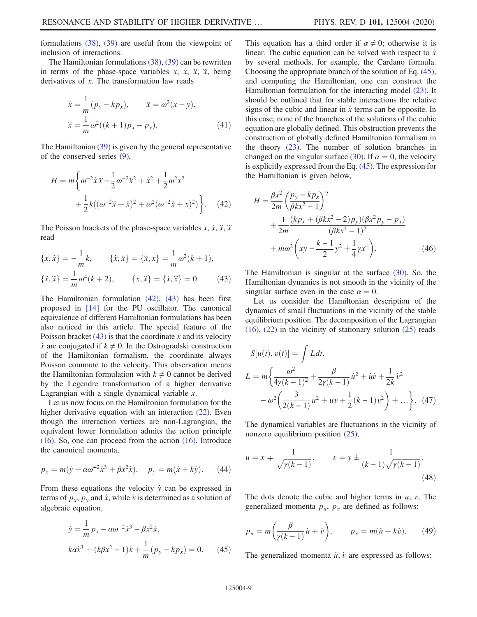formulations [\(38\),](#page-7-2) [\(39\)](#page-7-3) are useful from the viewpoint of inclusion of interactions.

The Hamiltonian formulations [\(38\)](#page-7-2), [\(39\)](#page-7-3) can be rewritten formulations (38), (39) are useful from the viewpoint of<br>inclusion of interactions.<br>The Hamiltonian formulations (38), (39) can be rewritten<br>in terms of the phase-space variables x,  $\dot{x}$ ,  $\ddot{x}$ ,  $\ddot{x}$ , being derivatives of  $x$ . The transformation law reads ⃛

$$
\begin{aligned}\n\dot{x} &= \frac{1}{m}(p_y - kp_x), & \ddot{x} &= \omega^2(x - y), \\
\ddot{x} &= \frac{1}{m}\omega^2((k+1)p_x - p_y).\n\end{aligned} \tag{41}
$$

The Hamiltonian [\(39\)](#page-7-3) is given by the general representative of the conserved series [\(9\)](#page-2-6), mian (39) i<br>strved series<br> $\omega^{-2}\dot{x}\ddot{x} - \frac{1}{2}$ 

<span id="page-8-0"></span>
$$
H = m \left\{ \omega^{-2} \ddot{x} \ddot{x} - \frac{1}{2} \omega^{-2} \ddot{x}^2 + \dot{x}^2 + \frac{1}{2} \omega^2 x^2 + \frac{1}{2} k ((\omega^{-2} \ddot{x} + \dot{x})^2 + \omega^2 (\omega^{-2} \ddot{x} + x)^2) \right\}.
$$
 (42)  
The Poisson brackets of the phase-space variables *x*, *\dot{x}*, *\ddot{x}*, *\ddot{x}*

<span id="page-8-1"></span>read

The Poisson brackets of the phase-space variables x, 
$$
\dot{x}
$$
,  $\ddot{x}$ ,  $\dddot{x}$   
read  
 $\{x, \dot{x}\} = -\frac{1}{m}k$ ,  $\{\dot{x}, \ddot{x}\} = \{\ddot{x}, x\} = \frac{1}{m}\omega^2(k+1)$ ,  
 $\{\ddot{x}, \ddot{x}\} = \frac{1}{m}\omega^4(k+2)$ ,  $\{x, \ddot{x}\} = \{\dot{x}, \ddot{x}\} = 0$ . (43)

The Hamiltonian formulation [\(42\),](#page-8-0) [\(43\)](#page-8-1) has been first proposed in [\[14\]](#page-13-7) for the PU oscillator. The canonical equivalence of different Hamiltonian formulations has been also noticed in this article. The special feature of the Poisson bracket  $(43)$  is that the coordinate x and its velocity  $\dot{x}$  are conjugated if  $k \neq 0$ . In the Ostrogradski construction of the Hamiltonian formalism, the coordinate always Poisson commute to the velocity. This observation means the Hamiltonian formulation with  $k \neq 0$  cannot be derived by the Legendre transformation of a higher derivative Lagrangian with a single dynamical variable  $x$ .

Let us now focus on the Hamiltonian formulation for the higher derivative equation with an interaction [\(22\)](#page-4-3). Even though the interaction vertices are non-Lagrangian, the equivalent lower formulation admits the action principle [\(16\)](#page-3-5). So, one can proceed from the action [\(16\)](#page-3-5). Introduce the canonical momenta,

$$
p_x = m(\dot{y} + \alpha \omega^{-2} \dot{x}^3 + \beta x^2 \dot{x}), \quad p_y = m(\dot{x} + k\dot{y}). \tag{44}
$$

<span id="page-8-2"></span>From these equations the velocity  $\dot{y}$  can be expressed in terms of  $p_x$ ,  $p_y$  and  $\dot{x}$ , while  $\dot{x}$  is determined as a solution of algebraic equation,

$$
\dot{y} = \frac{1}{m} p_x - \alpha \omega^{-2} \dot{x}^3 - \beta x^2 \dot{x},
$$
\n
$$
k \alpha \dot{x}^3 + (k \beta x^2 - 1) \dot{x} + \frac{1}{m} (p_y - k p_x) = 0.
$$
\n(45)

This equation has a third order if  $\alpha \neq 0$ ; otherwise it is linear. The cubic equation can be solved with respect to  $\dot{x}$ by several methods, for example, the Cardano formula. Choosing the appropriate branch of the solution of Eq. [\(45\)](#page-8-2), and computing the Hamiltonian, one can construct the Hamiltonian formulation for the interacting model [\(23\).](#page-4-4) It should be outlined that for stable interactions the relative signs of the cubic and linear in  $\dot{x}$  terms can be opposite. In this case, none of the branches of the solutions of the cubic equation are globally defined. This obstruction prevents the construction of globally defined Hamiltonian formalism in the theory [\(23\)](#page-4-4). The number of solution branches in changed on the singular surface [\(30\).](#page-5-1) If  $\alpha = 0$ , the velocity is explicitly expressed from the Eq. [\(45\).](#page-8-2) The expression for the Hamiltonian is given below,

$$
H = \frac{\beta x^2}{2m} \left( \frac{p_y - kp_x}{\beta k x^2 - 1} \right)^2
$$
  
+ 
$$
\frac{1}{2m} \frac{(kp_x + (\beta k x^2 - 2)p_y)(\beta x^2 p_y - p_x)}{(\beta k x^2 - 1)^2}
$$
  
+ 
$$
m\omega^2 \left( xy - \frac{k-1}{2}y^2 + \frac{1}{4}\gamma x^4 \right).
$$
 (46)

The Hamiltonian is singular at the surface [\(30\)](#page-5-1). So, the Hamiltonian dynamics is not smooth in the vicinity of the singular surface even in the case  $\alpha = 0$ .

Let us consider the Hamiltonian description of the dynamics of small fluctuations in the vicinity of the stable equilibrium position. The decomposition of the Lagrangian [\(16\)](#page-3-5), [\(22\)](#page-4-3) in the vicinity of stationary solution [\(25\)](#page-5-2) reads

$$
S[u(t), v(t)] = \int Ldt,
$$
  
\n
$$
L = m \left\{ \frac{\omega^2}{4\gamma (k-1)^2} + \frac{\beta}{2\gamma (k-1)} \dot{u}^2 + \dot{u}\dot{v} + \frac{1}{2k} \dot{v}^2 - \omega^2 \left( \frac{3}{2(k-1)} u^2 + u v + \frac{1}{2} (k-1) v^2 \right) + \dots \right\}.
$$
 (47)

The dynamical variables are fluctuations in the vicinity of nonzero equilibrium position [\(25\),](#page-5-2)

$$
u = x \mp \frac{1}{\sqrt{\gamma(k-1)}},
$$
  $v = y \pm \frac{1}{(k-1)\sqrt{\gamma(k-1)}}.$  (48)

<span id="page-8-4"></span>The dots denote the cubic and higher terms in  $u$ ,  $v$ . The generalized momenta  $p_u$ ,  $p_v$  are defined as follows:

$$
p_u = m\left(\frac{\beta}{\gamma(k-1)}\dot{u} + \dot{v}\right), \qquad p_v = m(\dot{u} + k\dot{v}). \tag{49}
$$

<span id="page-8-3"></span>The generalized momenta  $\dot{u}$ ,  $\dot{v}$  are expressed as follows: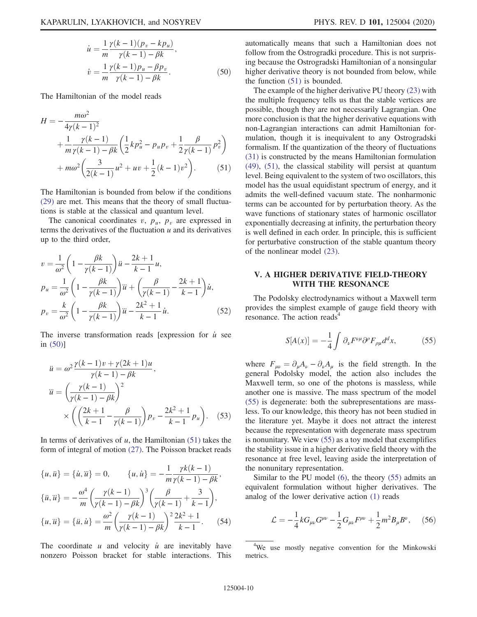$$
\dot{u} = \frac{1}{m} \frac{\gamma (k-1)(p_v - kp_u)}{\gamma (k-1) - \beta k}, \n\dot{v} = \frac{1}{m} \frac{\gamma (k-1)p_u - \beta p_v}{\gamma (k-1) - \beta k}.
$$
\n(50)

<span id="page-9-1"></span>The Hamiltonian of the model reads

$$
H = -\frac{m\omega^2}{4\gamma(k-1)^2} + \frac{1}{m} \frac{\gamma(k-1)}{\gamma(k-1) - \beta k} \left( \frac{1}{2} k p_u^2 - p_u p_v + \frac{1}{2} \frac{\beta}{\gamma(k-1)} p_v^2 \right) + m\omega^2 \left( \frac{3}{2(k-1)} u^2 + u v + \frac{1}{2} (k-1) v^2 \right).
$$
 (51)

The Hamiltonian is bounded from below if the conditions [\(29\)](#page-5-3) are met. This means that the theory of small fluctuations is stable at the classical and quantum level.

The canonical coordinates  $v$ ,  $p_u$ ,  $p_v$  are expressed in terms the derivatives of the fluctuation  $u$  and its derivatives up to the third order,

$$
v = \frac{1}{\omega^2} \left( 1 - \frac{\beta k}{\gamma (k-1)} \right) \ddot{u} - \frac{2k+1}{k-1} u,
$$
  
\n
$$
p_u = \frac{1}{\omega^2} \left( 1 - \frac{\beta k}{\gamma (k-1)} \right) \ddot{u} + \left( \frac{\beta}{\gamma (k-1)} - \frac{2k+1}{k-1} \right) \dot{u},
$$
  
\n
$$
p_v = \frac{k}{\omega^2} \left( 1 - \frac{\beta k}{\gamma (k-1)} \right) \ddot{u} - \frac{2k^2+1}{k-1} \dot{u}.
$$
 (52)

The inverse transformation reads [expression for  $\dot{u}$  see in [\(50\)](#page-8-3)]

$$
\ddot{u} = \omega^2 \frac{\gamma(k-1)v + \gamma(2k+1)u}{\gamma(k-1) - \beta k},
$$
\n
$$
\ddot{u} = \left(\frac{\gamma(k-1)}{\gamma(k-1) - \beta k}\right)^2 \times \left(\left(\frac{2k+1}{k-1} - \frac{\beta}{\gamma(k-1)}\right)p_v - \frac{2k^2+1}{k-1}p_u\right). \quad (53)
$$

In terms of derivatives of  $u$ , the Hamiltonian [\(51\)](#page-9-1) takes the form of integral of motion [\(27\).](#page-5-0) The Poisson bracket reads

In terms of derivatives of *u*, the Hamiltonian (51) takes the  
form of integral of motion (27). The Poisson bracket reads  

$$
\{u, \ddot{u}\} = \{\dot{u}, \dddot{u}\} = 0, \qquad \{u, \dot{u}\} = -\frac{1}{m} \frac{\gamma k(k-1)}{\gamma(k-1) - \beta k},
$$

$$
\{\ddot{u}, \ddot{u}\} = -\frac{\omega^4}{m} \left(\frac{\gamma(k-1)}{\gamma(k-1) - \beta k}\right)^3 \left(\frac{\beta}{\gamma(k-1)} + \frac{3}{k-1}\right),
$$

$$
\{u, \ddot{u}\} = \{\ddot{u}, \dot{u}\} = \frac{\omega^2}{m} \left(\frac{\gamma(k-1)}{\gamma(k-1) - \beta k}\right)^2 \frac{2k^2 + 1}{k-1}.
$$
(54)

The coordinate  $u$  and velocity  $\dot{u}$  are inevitably have nonzero Poisson bracket for stable interactions. This automatically means that such a Hamiltonian does not follow from the Ostrogradki procedure. This is not surprising because the Ostrogradski Hamiltonian of a nonsingular higher derivative theory is not bounded from below, while the function [\(51\)](#page-9-1) is bounded.

The example of the higher derivative PU theory [\(23\)](#page-4-4) with the multiple frequency tells us that the stable vertices are possible, though they are not necessarily Lagrangian. One more conclusion is that the higher derivative equations with non-Lagrangian interactions can admit Hamiltonian formulation, though it is inequivalent to any Ostrogradski formalism. If the quantization of the theory of fluctuations [\(31\)](#page-6-0) is constructed by the means Hamiltonian formulation [\(49\)](#page-8-4), [\(51\),](#page-9-1) the classical stability will persist at quantum level. Being equivalent to the system of two oscillators, this model has the usual equidistant spectrum of energy, and it admits the well-defined vacuum state. The nonharmonic terms can be accounted for by perturbation theory. As the wave functions of stationary states of harmonic oscillator exponentially decreasing at infinity, the perturbation theory is well defined in each order. In principle, this is sufficient for perturbative construction of the stable quantum theory of the nonlinear model [\(23\)](#page-4-4).

## <span id="page-9-0"></span>V. A HIGHER DERIVATIVE FIELD-THEORY WITH THE RESONANCE

<span id="page-9-2"></span>The Podolsky electrodynamics without a Maxwell term provides the simplest example of gauge field theory with resonance. The action reads $4$ 

$$
S[A(x)] = -\frac{1}{4} \int \partial_{\nu} F^{\nu \mu} \partial^{\rho} F_{\rho \mu} d^d x,\tag{55}
$$

where  $F_{\mu\nu} = \partial_{\mu}A_{\nu} - \partial_{\nu}A_{\mu}$  is the field strength. In the general Podolsky model, the action also includes the Maxwell term, so one of the photons is massless, while another one is massive. The mass spectrum of the model [\(55\)](#page-9-2) is degenerate: both the subrepresentations are massless. To our knowledge, this theory has not been studied in the literature yet. Maybe it does not attract the interest because the representation with degenerate mass spectrum is nonunitary. We view [\(55\)](#page-9-2) as a toy model that exemplifies the stability issue in a higher derivative field theory with the resonance at free level, leaving aside the interpretation of the nonunitary representation.

<span id="page-9-3"></span>Similar to the PU model [\(6\),](#page-2-3) the theory [\(55\)](#page-9-2) admits an equivalent formulation without higher derivatives. The analog of the lower derivative action [\(1\)](#page-1-0) reads

$$
\mathcal{L} = -\frac{1}{4}kG_{\mu\nu}G^{\mu\nu} - \frac{1}{2}G_{\mu\nu}F^{\mu\nu} + \frac{1}{2}m^2B_{\mu}B^{\nu}, \quad (56)
$$

<sup>4</sup>We use mostly negative convention for the Minkowski metrics.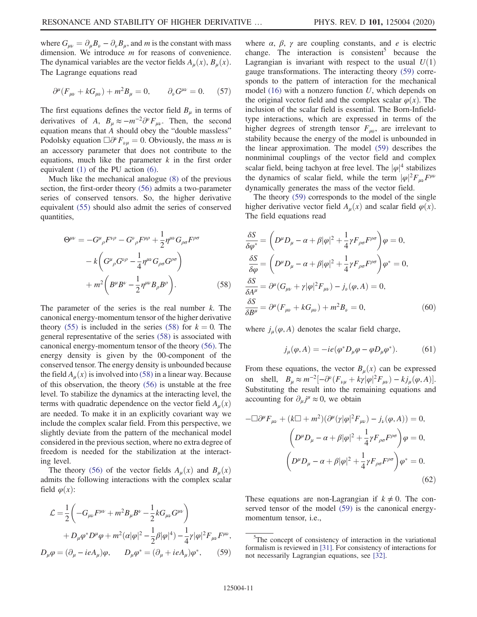where  $G_{\mu\nu} = \partial_{\mu}B_{\nu} - \partial_{\nu}B_{\mu}$ , and m is the constant with mass dimension. We introduce m for reasons of convenience. The dynamical variables are the vector fields  $A_\mu(x)$ ,  $B_\mu(x)$ . The Lagrange equations read

$$
\partial^{\mu} (F_{\mu\nu} + k G_{\mu\nu}) + m^2 B_{\mu} = 0, \qquad \partial_{\nu} G^{\mu\nu} = 0. \tag{57}
$$

The first equations defines the vector field  $B_{\mu}$  in terms of derivatives of A,  $B_{\mu} \approx -m^{-2}\partial^{\nu}F_{\mu\nu}$ . Then, the second equation means that A should obey the "double massless" Podolsky equation  $\square \partial^{\nu} F_{\nu\mu} = 0$ . Obviously, the mass m is an accessory parameter that does not contribute to the equations, much like the parameter  $k$  in the first order equivalent [\(1\)](#page-1-0) of the PU action [\(6\).](#page-2-3)

<span id="page-10-0"></span>Much like the mechanical analogue [\(8\)](#page-2-5) of the previous section, the first-order theory [\(56\)](#page-9-3) admits a two-parameter series of conserved tensors. So, the higher derivative equivalent [\(55\)](#page-9-2) should also admit the series of conserved quantities,

$$
\Theta^{\mu\nu} = -G^{\mu}{}_{\rho}F^{\nu\rho} - G^{\nu}{}_{\rho}F^{\mu\rho} + \frac{1}{2}\eta^{\mu\nu}G_{\rho\sigma}F^{\rho\sigma}
$$

$$
-k\left(G^{\mu}{}_{\rho}G^{\nu\rho} - \frac{1}{4}\eta^{\mu\nu}G_{\rho\sigma}G^{\rho\sigma}\right)
$$

$$
+ m^2\left(B^{\mu}B^{\nu} - \frac{1}{2}\eta^{\mu\nu}B_{\rho}B^{\rho}\right). \tag{58}
$$

The parameter of the series is the real number  $k$ . The canonical energy-momentum tensor of the higher derivative theory [\(55\)](#page-9-2) is included in the series [\(58\)](#page-10-0) for  $k = 0$ . The general representative of the series [\(58\)](#page-10-0) is associated with canonical energy-momentum tensor of the theory [\(56\).](#page-9-3) The energy density is given by the 00-component of the conserved tensor. The energy density is unbounded because the field  $A_u(x)$  is involved into [\(58\)](#page-10-0) in a linear way. Because of this observation, the theory [\(56\)](#page-9-3) is unstable at the free level. To stabilize the dynamics at the interacting level, the terms with quadratic dependence on the vector field  $A_u(x)$ are needed. To make it in an explicitly covariant way we include the complex scalar field. From this perspective, we slightly deviate from the pattern of the mechanical model considered in the previous section, where no extra degree of freedom is needed for the stabilization at the interacting level.

<span id="page-10-1"></span>The theory [\(56\)](#page-9-3) of the vector fields  $A_\mu(x)$  and  $B_\mu(x)$ admits the following interactions with the complex scalar field  $\varphi(x)$ :

$$
\mathcal{L} = \frac{1}{2} \left( -G_{\mu\nu} F^{\mu\nu} + m^2 B_{\mu} B^{\nu} - \frac{1}{2} k G_{\mu\nu} G^{\mu\nu} \right) \n+ D_{\mu} \varphi^* D^{\mu} \varphi + m^2 (\alpha |\varphi|^2 - \frac{1}{2} \beta |\varphi|^4) - \frac{1}{4} \gamma |\varphi|^2 F_{\mu\nu} F^{\mu\nu}, \nD_{\mu} \varphi = (\partial_{\mu} - ieA_{\mu}) \varphi, \qquad D_{\mu} \varphi^* = (\partial_{\mu} + ieA_{\mu}) \varphi^*,
$$
\n(59)

where  $\alpha$ ,  $\beta$ ,  $\gamma$  are coupling constants, and *e* is electric change. The interaction is consistent<sup>5</sup> because the Lagrangian is invariant with respect to the usual  $U(1)$ gauge transformations. The interacting theory [\(59\)](#page-10-1) corresponds to the pattern of interaction for the mechanical model  $(16)$  with a nonzero function U, which depends on the original vector field and the complex scalar  $\varphi(x)$ . The inclusion of the scalar field is essential. The Born-Infieldtype interactions, which are expressed in terms of the higher degrees of strength tensor  $F_{\mu\nu}$ , are irrelevant to stability because the energy of the model is unbounded in the linear approximation. The model [\(59\)](#page-10-1) describes the nonminimal couplings of the vector field and complex scalar field, being tachyon at free level. The  $|\varphi|^4$  stabilizes<br>the dynamics of scalar field, while the term  $|\varphi|^2 F$ ,  $F^{\mu\nu}$ the dynamics of scalar field, while the term  $|\varphi|^2 F_{\mu\nu} F^{\mu\nu}$ <br>dynamically generates the mass of the vector field dynamically generates the mass of the vector field.

The theory [\(59\)](#page-10-1) corresponds to the model of the single higher derivative vector field  $A_\mu(x)$  and scalar field  $\varphi(x)$ . The field equations read

$$
\frac{\delta S}{\delta \varphi^*} = \left( D^{\mu} D_{\mu} - \alpha + \beta |\varphi|^2 + \frac{1}{4} \gamma F_{\rho \sigma} F^{\rho \sigma} \right) \varphi = 0,
$$
  
\n
$$
\frac{\delta S}{\delta \varphi} = \left( D^{\mu} D_{\mu} - \alpha + \beta |\varphi|^2 + \frac{1}{4} \gamma F_{\rho \sigma} F^{\rho \sigma} \right) \varphi^* = 0,
$$
  
\n
$$
\frac{\delta S}{\delta A^{\mu}} = \partial^{\mu} (G_{\mu \nu} + \gamma |\varphi|^2 F_{\mu \nu}) - j_{\nu} (\varphi, A) = 0,
$$
  
\n
$$
\frac{\delta S}{\delta B^{\mu}} = \partial^{\mu} (F_{\mu \nu} + k G_{\mu \nu}) + m^2 B_{\nu} = 0,
$$
\n(60)

where  $j_{\mu}(\varphi, A)$  denotes the scalar field charge,

$$
j_{\mu}(\varphi, A) = -ie(\varphi^* D_{\mu}\varphi - \varphi D_{\mu}\varphi^*).
$$
 (61)

<span id="page-10-2"></span>From these equations, the vector  $B_u(x)$  can be expressed on shell,  $B_{\mu} \approx m^{-2} \left[ -\partial^{\nu} (F_{\nu\mu} + k\gamma |\varphi|^2 F_{\mu\nu}) - k j_{\mu}(\varphi, A) \right].$ Substituting the result into the remaining equations and accounting for  $\partial_{\mu}j^{\mu} \approx 0$ , we obtain

$$
-\Box \partial^{\mu} F_{\mu\nu} + (k \Box + m^{2})(\partial^{\mu}(\gamma|\varphi|^{2} F_{\mu\nu}) - j_{\nu}(\varphi, A)) = 0,
$$

$$
\left(D^{\mu} D_{\mu} - \alpha + \beta|\varphi|^{2} + \frac{1}{4} \gamma F_{\rho\sigma} F^{\rho\sigma}\right) \varphi = 0,
$$

$$
\left(D^{\mu} D_{\mu} - \alpha + \beta|\varphi|^{2} + \frac{1}{4} \gamma F_{\rho\sigma} F^{\rho\sigma}\right) \varphi^{*} = 0.
$$

$$
(62)
$$

<span id="page-10-3"></span>These equations are non-Lagrangian if  $k \neq 0$ . The conserved tensor of the model [\(59\)](#page-10-1) is the canonical energymomentum tensor, i.e.,

<sup>&</sup>lt;sup>5</sup>The concept of consistency of interaction in the variational formalism is reviewed in [\[31\]](#page-14-2). For consistency of interactions for not necessarily Lagrangian equations, see [\[32\].](#page-14-3)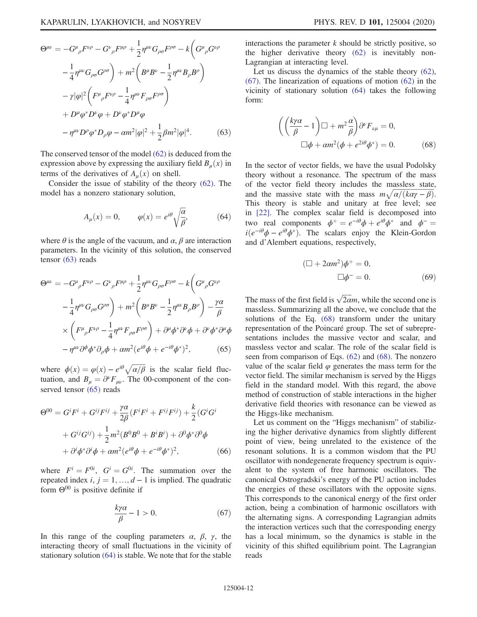$$
\Theta^{\mu\nu} = -G^{\mu}{}_{\rho}F^{\nu\rho} - G^{\nu}{}_{\rho}F^{\mu\rho} + \frac{1}{2}\eta^{\mu\nu}G_{\rho\sigma}F^{\rho\sigma} - k\left(G^{\mu}{}_{\rho}G^{\nu\rho}\right)
$$

$$
-\frac{1}{4}\eta^{\mu\nu}G_{\rho\sigma}G^{\rho\sigma}\right) + m^{2}\left(B^{\mu}B^{\nu} - \frac{1}{2}\eta^{\mu\nu}B_{\rho}B^{\rho}\right)
$$

$$
-\gamma|\varphi|^{2}\left(F^{\mu}{}_{\rho}F^{\nu\rho} - \frac{1}{4}\eta^{\mu\nu}F_{\rho\sigma}F^{\rho\sigma}\right)
$$

$$
+ D^{\mu}\varphi^{*}D^{\nu}\varphi + D^{\nu}\varphi^{*}D^{\mu}\varphi
$$

$$
-\eta^{\mu\nu}D^{\rho}\varphi^{*}D_{\rho}\varphi - \alpha m^{2}|\varphi|^{2} + \frac{1}{2}\beta m^{2}|\varphi|^{4}.
$$
(63)

The conserved tensor of the model [\(62\)](#page-10-2) is deduced from the expression above by expressing the auxiliary field  $B_u(x)$  in terms of the derivatives of  $A<sub>u</sub>(x)$  on shell.

<span id="page-11-1"></span>Consider the issue of stability of the theory [\(62\)](#page-10-2). The model has a nonzero stationary solution,

$$
A_{\mu}(x) = 0, \qquad \varphi(x) = e^{i\theta} \sqrt{\frac{\alpha}{\beta}}, \tag{64}
$$

<span id="page-11-0"></span>where  $\theta$  is the angle of the vacuum, and  $\alpha$ ,  $\beta$  are interaction parameters. In the vicinity of this solution, the conserved tensor [\(63\)](#page-10-3) reads

$$
\Theta^{\mu\nu} = -G^{\mu}{}_{\rho}F^{\nu\rho} - G^{\nu}{}_{\rho}F^{\mu\rho} + \frac{1}{2}\eta^{\mu\nu}G_{\rho\sigma}F^{\rho\sigma} - k\left(G^{\mu}{}_{\rho}G^{\nu\rho}\right)
$$

$$
-\frac{1}{4}\eta^{\mu\nu}G_{\rho\sigma}G^{\rho\sigma}\right) + m^{2}\left(B^{\mu}B^{\nu} - \frac{1}{2}\eta^{\mu\nu}B_{\rho}B^{\rho}\right) - \frac{\gamma\alpha}{\beta}
$$

$$
\times\left(F^{\mu}{}_{\rho}F^{\nu\rho} - \frac{1}{4}\eta^{\mu\nu}F_{\rho\sigma}F^{\rho\sigma}\right) + \partial^{\mu}\phi^{*}\partial^{\nu}\phi + \partial^{\nu}\phi^{*}\partial^{\mu}\phi
$$

$$
-\eta^{\mu\nu}\partial^{\phi}\phi^{*}\partial_{\rho}\phi + \alpha m^{2}(e^{i\theta}\phi + e^{-i\theta}\phi^{*})^{2}, \qquad (65)
$$

where  $\phi(x) = \phi(x) - e^{i\theta} \sqrt{\alpha/\beta}$  is the scalar field fluctuation and  $B = \partial^{\mu} F$ . The 00-component of the contuation, and  $B_{\mu} = \partial^{\nu} F_{\mu\nu}$ . The 00-component of the con-served tensor [\(65\)](#page-11-0) reads

$$
\Theta^{00} = G^i F^i + G^{ij} F^{ij} + \frac{\gamma \alpha}{2\beta} (F^i F^i + F^{ij} F^{ij}) + \frac{k}{2} (G^i G^i
$$
  
+ 
$$
G^{ij} G^{ij}) + \frac{1}{2} m^2 (B^0 B^0 + B^i B^i) + \partial^0 \phi^* \partial^0 \phi
$$
  
+ 
$$
\partial^i \phi^* \partial^i \phi + \alpha m^2 (e^{i\theta} \phi + e^{-i\theta} \phi^*)^2,
$$
 (66)

<span id="page-11-2"></span>where  $F^i = F^{0i}$ ,  $G^i = G^{0i}$ . The summation over the repeated index  $i \neq i-1$  and  $d-1$  is implied. The quadratic repeated index  $i, j = 1, ..., d - 1$  is implied. The quadratic form  $\Theta^{00}$  is positive definite if

$$
\frac{k\gamma\alpha}{\beta} - 1 > 0. \tag{67}
$$

In this range of the coupling parameters  $\alpha$ ,  $\beta$ ,  $\gamma$ , the interacting theory of small fluctuations in the vicinity of stationary solution [\(64\)](#page-11-1) is stable. We note that for the stable interactions the parameter  $k$  should be strictly positive, so the higher derivative theory [\(62\)](#page-10-2) is inevitably non-Lagrangian at interacting level.

<span id="page-11-3"></span>Let us discuss the dynamics of the stable theory [\(62\)](#page-10-2), [\(67\)](#page-11-2). The linearization of equations of motion [\(62\)](#page-10-2) in the vicinity of stationary solution [\(64\)](#page-11-1) takes the following form:

$$
\left( \left( \frac{k\gamma\alpha}{\beta} - 1 \right) \Box + m^2 \frac{\alpha}{\beta} \right) \partial^{\nu} F_{\nu\mu} = 0,
$$
  
 
$$
\Box \phi + \alpha m^2 (\phi + e^{2i\theta} \phi^*) = 0.
$$
 (68)

In the sector of vector fields, we have the usual Podolsky theory without a resonance. The spectrum of the mass of the vector field theory includes the massless state, and the massive state with the mass  $m\sqrt{\alpha/(k\alpha\gamma-\beta)}$ .<br>This theory is stable and unitary at free level: see This theory is stable and unitary at free level; see in [\[22\]](#page-13-11). The complex scalar field is decomposed into two real components  $\phi^+ = e^{-i\theta}\phi + e^{i\theta}\phi^*$  and  $\phi^- =$  $i(e^{-i\theta}\phi - e^{i\theta}\phi^*)$ . The scalars enjoy the Klein-Gordon and d'Alembert equations, respectively,

$$
(\Box + 2\alpha m^2)\phi^+ = 0,
$$
  

$$
\Box \phi^- = 0.
$$
 (69)

The mass of the first field is  $\sqrt{2\alpha}m$ , while the second one is massless. Summarizing all the above, we conclude that the solutions of the Eq. [\(68\)](#page-11-3) transform under the unitary representation of the Poincaré group. The set of subrepresentations includes the massive vector and scalar, and massless vector and scalar. The role of the scalar field is seen from comparison of Eqs. [\(62\)](#page-10-2) and [\(68\)](#page-11-3). The nonzero value of the scalar field  $\varphi$  generates the mass term for the vector field. The similar mechanism is served by the Higgs field in the standard model. With this regard, the above method of construction of stable interactions in the higher derivative field theories with resonance can be viewed as the Higgs-like mechanism.

Let us comment on the "Higgs mechanism" of stabilizing the higher derivative dynamics from slightly different point of view, being unrelated to the existence of the resonant solutions. It is a common wisdom that the PU oscillator with nondegenerate frequency spectrum is equivalent to the system of free harmonic oscillators. The canonical Ostrogradski's energy of the PU action includes the energies of these oscillators with the opposite signs. This corresponds to the canonical energy of the first order action, being a combination of harmonic oscillators with the alternating signs. A corresponding Lagrangian admits the interaction vertices such that the corresponding energy has a local minimum, so the dynamics is stable in the vicinity of this shifted equilibrium point. The Lagrangian reads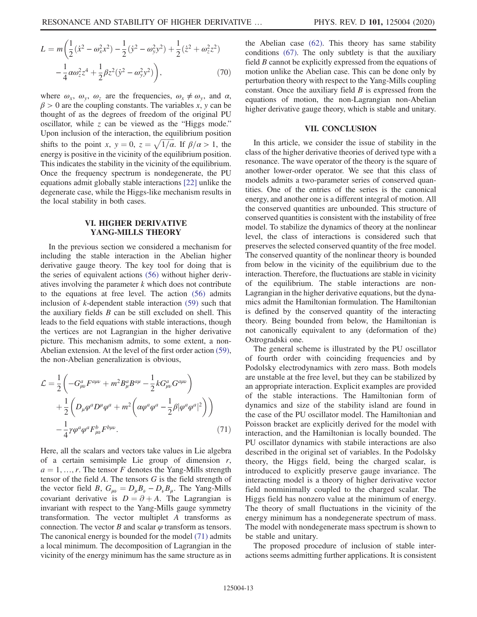$$
L = m\left(\frac{1}{2}(\dot{x}^2 - \omega_x^2 x^2) - \frac{1}{2}(\dot{y}^2 - \omega_y^2 y^2) + \frac{1}{2}(\dot{z}^2 + \omega_z^2 z^2) - \frac{1}{4}\alpha\omega_z^2 z^4 + \frac{1}{2}\beta z^2(\dot{y}^2 - \omega_y^2 y^2)\right),
$$
(70)

where  $\omega_x$ ,  $\omega_y$ ,  $\omega_z$  are the frequencies,  $\omega_x \neq \omega_y$ , and  $\alpha$ ,  $\beta > 0$  are the coupling constants. The variables x, y can be thought of as the degrees of freedom of the original PU oscillator, while z can be viewed as the "Higgs mode." Upon inclusion of the interaction, the equilibrium position shifts to the point  $x$ ,  $y = 0$ ,  $z = \sqrt{1/\alpha}$ . If  $\beta/\alpha > 1$ , the energy is positive in the vicinity of the equilibrium position. This indicates the stability in the vicinity of the equilibrium. Once the frequency spectrum is nondegenerate, the PU equations admit globally stable interactions [\[22\]](#page-13-11) unlike the degenerate case, while the Higgs-like mechanism results in the local stability in both cases.

## VI. HIGHER DERIVATIVE YANG-MILLS THEORY

<span id="page-12-0"></span>In the previous section we considered a mechanism for including the stable interaction in the Abelian higher derivative gauge theory. The key tool for doing that is the series of equivalent actions [\(56\)](#page-9-3) without higher derivatives involving the parameter  $k$  which does not contribute to the equations at free level. The action [\(56\)](#page-9-3) admits inclusion of k-dependent stable interaction [\(59\)](#page-10-1) such that the auxiliary fields  $B$  can be still excluded on shell. This leads to the field equations with stable interactions, though the vertices are not Lagrangian in the higher derivative picture. This mechanism admits, to some extent, a non-Abelian extension. At the level of the first order action [\(59\)](#page-10-1), the non-Abelian generalization is obvious,

<span id="page-12-1"></span>
$$
\mathcal{L} = \frac{1}{2} \left( -G_{\mu\nu}^a F^{a\mu\nu} + m^2 B_{\mu}^a B^{a\mu} - \frac{1}{2} k G_{\mu\nu}^a G^{a\mu\nu} \right) \n+ \frac{1}{2} \left( D_{\mu} \varphi^a D^{\mu} \varphi^a + m^2 \left( \alpha \varphi^a \varphi^a - \frac{1}{2} \beta |\varphi^a \varphi^a|^2 \right) \right) \n- \frac{1}{4} \gamma \varphi^a \varphi^a F_{\mu\nu}^b F^{b\mu\nu}.
$$
\n(71)

Here, all the scalars and vectors take values in Lie algebra of a certain semisimple Lie group of dimension  $r$ ,  $a = 1, \ldots, r$ . The tensor F denotes the Yang-Mills strength tensor of the field A. The tensors G is the field strength of the vector field B,  $G_{\mu\nu} = D_{\mu}B_{\nu} - D_{\nu}B_{\mu}$ . The Yang-Mills covariant derivative is  $D = \partial + A$ . The Lagrangian is invariant with respect to the Yang-Mills gauge symmetry transformation. The vector multiplet A transforms as connection. The vector B and scalar  $\varphi$  transform as tensors. The canonical energy is bounded for the model [\(71\)](#page-12-1) admits a local minimum. The decomposition of Lagrangian in the vicinity of the energy minimum has the same structure as in the Abelian case [\(62\).](#page-10-2) This theory has same stability conditions [\(67\).](#page-11-2) The only subtlety is that the auxiliary field B cannot be explicitly expressed from the equations of motion unlike the Abelian case. This can be done only by perturbation theory with respect to the Yang-Mills coupling constant. Once the auxiliary field  $B$  is expressed from the equations of motion, the non-Lagrangian non-Abelian higher derivative gauge theory, which is stable and unitary.

## VII. CONCLUSION

In this article, we consider the issue of stability in the class of the higher derivative theories of derived type with a resonance. The wave operator of the theory is the square of another lower-order operator. We see that this class of models admits a two-parameter series of conserved quantities. One of the entries of the series is the canonical energy, and another one is a different integral of motion. All the conserved quantities are unbounded. This structure of conserved quantities is consistent with the instability of free model. To stabilize the dynamics of theory at the nonlinear level, the class of interactions is considered such that preserves the selected conserved quantity of the free model. The conserved quantity of the nonlinear theory is bounded from below in the vicinity of the equilibrium due to the interaction. Therefore, the fluctuations are stable in vicinity of the equilibrium. The stable interactions are non-Lagrangian in the higher derivative equations, but the dynamics admit the Hamiltonian formulation. The Hamiltonian is defined by the conserved quantity of the interacting theory. Being bounded from below, the Hamiltonian is not canonically equivalent to any (deformation of the) Ostrogradski one.

The general scheme is illustrated by the PU oscillator of fourth order with coinciding frequencies and by Podolsky electrodynamics with zero mass. Both models are unstable at the free level, but they can be stabilized by an appropriate interaction. Explicit examples are provided of the stable interactions. The Hamiltonian form of dynamics and size of the stability island are found in the case of the PU oscillator model. The Hamiltonian and Poisson bracket are explicitly derived for the model with interaction, and the Hamiltonian is locally bounded. The PU oscillator dynamics with stabile interactions are also described in the original set of variables. In the Podolsky theory, the Higgs field, being the charged scalar, is introduced to explicitly preserve gauge invariance. The interacting model is a theory of higher derivative vector field nonminimally coupled to the charged scalar. The Higgs field has nonzero value at the minimum of energy. The theory of small fluctuations in the vicinity of the energy minimum has a nondegenerate spectrum of mass. The model with nondegenerate mass spectrum is shown to be stable and unitary.

The proposed procedure of inclusion of stable interactions seems admitting further applications. It is consistent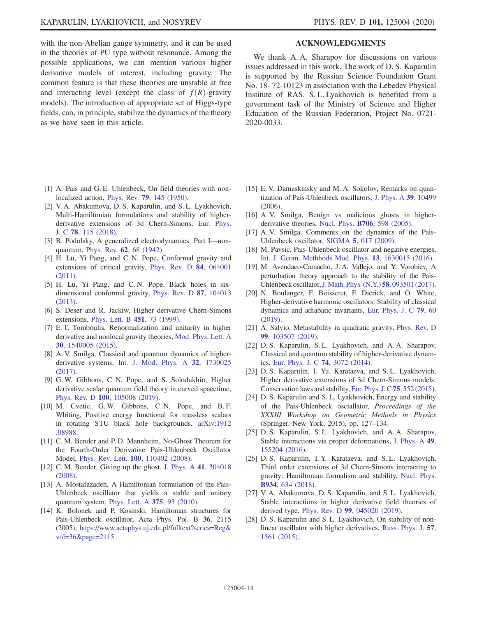with the non-Abelian gauge symmetry, and it can be used in the theories of PU type without resonance. Among the possible applications, we can mention various higher derivative models of interest, including gravity. The common feature is that these theories are unstable at free and interacting level (except the class of  $f(R)$ -gravity models). The introduction of appropriate set of Higgs-type fields, can, in principle, stabilize the dynamics of the theory as we have seen in this article.

### ACKNOWLEDGMENTS

We thank A. A. Sharapov for discussions on various issues addressed in this work. The work of D. S. Kaparulin is supported by the Russian Science Foundation Grant No. 18- 72-10123 in association with the Lebedev Physical Institute of RAS. S. L. Lyakhovich is benefited from a government task of the Ministry of Science and Higher Education of the Russian Federation, Project No. 0721- 2020-0033.

- <span id="page-13-0"></span>[1] A. Pais and G. E. Uhlenbeck, On field theories with nonlocalized action, Phys. Rev. 79[, 145 \(1950\).](https://doi.org/10.1103/PhysRev.79.145)
- <span id="page-13-1"></span>[2] V. A. Abakumova, D. S. Kaparulin, and S. L. Lyakhovich, Multi-Hamiltonian formulations and stability of higherderivative extensions of 3d Chern-Simons, [Eur. Phys.](https://doi.org/10.1140/epjc/s10052-018-5601-y) J. C 78[, 115 \(2018\).](https://doi.org/10.1140/epjc/s10052-018-5601-y)
- <span id="page-13-2"></span>[3] B. Podolsky, A generalized electrodynamics. Part I—nonquantum, Phys. Rev. 62[, 68 \(1942\)](https://doi.org/10.1103/PhysRev.62.68).
- <span id="page-13-3"></span>[4] H. Lu, Yi Pang, and C. N. Pope, Conformal gravity and extensions of critical gravity, [Phys. Rev. D](https://doi.org/10.1103/PhysRevD.84.064001) 84, 064001 [\(2011\).](https://doi.org/10.1103/PhysRevD.84.064001)
- [5] H. Lu, Yi Pang, and C. N. Pope, Black holes in sixdimensional conformal gravity, [Phys. Rev. D](https://doi.org/10.1103/PhysRevD.87.104013) 87, 104013  $(2013)$ .
- <span id="page-13-4"></span>[6] S. Deser and R. Jackiw, Higher derivative Chern-Simons extensions, [Phys. Lett. B](https://doi.org/10.1016/S0370-2693(99)00216-6) 451, 73 (1999).
- <span id="page-13-5"></span>[7] E. T. Tomboulis, Renormalization and unitarity in higher derivative and nonlocal gravity theories, [Mod. Phys. Lett. A](https://doi.org/10.1142/S0217732315400052) 30[, 1540005 \(2015\).](https://doi.org/10.1142/S0217732315400052)
- <span id="page-13-15"></span>[8] A. V. Smilga, Classical and quantum dynamics of higherderivative systems, [Int. J. Mod. Phys. A](https://doi.org/10.1142/S0217751X17300253) 32, 1730025 [\(2017\).](https://doi.org/10.1142/S0217751X17300253)
- [9] G. W. Gibbons, C. N. Pope, and S. Solodukhin, Higher derivative scalar quantum field theory in curved spacetime, Phys. Rev. D 100[, 105008 \(2019\)](https://doi.org/10.1103/PhysRevD.100.105008).
- [10] M. Cvetic, G. W. Gibbons, C. N. Pope, and B. F. Whiting, Positive energy functional for massless scalars in rotating STU black hole backgrounds, [arXiv:1912](https://arXiv.org/abs/1912.08988) [.08988.](https://arXiv.org/abs/1912.08988)
- <span id="page-13-6"></span>[11] C. M. Bender and P. D. Mannheim, No-Ghost Theorem for the Fourth-Order Derivative Pais-Uhlenbeck Oscillator Model, Phys. Rev. Lett. 100[, 110402 \(2008\)](https://doi.org/10.1103/PhysRevLett.100.110402).
- [12] C. M. Bender, Giving up the ghost, [J. Phys. A](https://doi.org/10.1088/1751-8113/41/30/304018) 41, 304018 [\(2008\).](https://doi.org/10.1088/1751-8113/41/30/304018)
- [13] A. Mostafazadeh, A Hamiltonian formulation of the Pais-Uhlenbeck oscillator that yields a stable and unitary quantum system, [Phys. Lett. A](https://doi.org/10.1016/j.physleta.2010.10.050) 375, 93 (2010).
- <span id="page-13-7"></span>[14] K. Bolonek and P. Kosinski, Hamiltonian structures for Pais-Uhlenbeck oscillator, Acta Phys. Pol. B 36, 2115 (2005), [https://www.actaphys.uj.edu.pl/fulltext?series=Reg&](https://www.actaphys.uj.edu.pl/fulltext?series=Reg&vol=36&page=2115) [vol=36&page=2115.](https://www.actaphys.uj.edu.pl/fulltext?series=Reg&vol=36&page=2115)
- [15] E. V. Damaskinsky and M. A. Sokolov, Remarks on quantization of Pais-Uhlenbeck oscillators, [J. Phys. A](https://doi.org/10.1088/0305-4470/39/33/017) 39, 10499 [\(2006\).](https://doi.org/10.1088/0305-4470/39/33/017)
- <span id="page-13-8"></span>[16] A. V. Smilga, Benign vs malicious ghosts in higherderivative theories, Nucl. Phys. B706[, 598 \(2005\).](https://doi.org/10.1016/j.nuclphysb.2004.10.037)
- [17] A. V. Smilga, Comments on the dynamics of the Pais-Uhlenbeck oscillator, SIGMA 5[, 017 \(2009\)](https://doi.org/10.3842/SIGMA.2009.017).
- [18] M. Pavsic, Pais-Uhlenbeck oscillator and negative energies, [Int. J. Geom. Methhods Mod. Phys.](https://doi.org/10.1142/S0219887816300154) 13, 1630015 (2016).
- [19] M. Avendaco-Camacho, J.A. Vallejo, and Y. Vorobiev, A. perturbation theory approach to the stability of the Pais-Uhlenbeck oscillator,[J.Math. Phys. \(N.Y.\)](https://doi.org/10.1063/1.5000382) 58, 093501 (2017).
- <span id="page-13-9"></span>[20] N. Boulanger, F. Buisseret, F. Dierick, and O. White, Higher-derivative harmonic oscillators: Stability of classical dynamics and adiabatic invariants, [Eur. Phys. J. C](https://doi.org/10.1140/epjc/s10052-019-6569-y) 79, 60 [\(2019\).](https://doi.org/10.1140/epjc/s10052-019-6569-y)
- <span id="page-13-10"></span>[21] A. Salvio, Metastability in quadratic gravity, [Phys. Rev. D](https://doi.org/10.1103/PhysRevD.99.103507) 99[, 103507 \(2019\).](https://doi.org/10.1103/PhysRevD.99.103507)
- <span id="page-13-11"></span>[22] D. S. Kaparulin, S. L. Lyakhovich, and A. A. Sharapov, Classical and quantum stability of higher-derivative dynamics, [Eur. Phys. J. C](https://doi.org/10.1140/epjc/s10052-014-3072-3) 74, 3072 (2014).
- <span id="page-13-13"></span>[23] D. S. Kaparulin, I. Yu. Karataeva, and S. L. Lyakhovich, Higher derivative extensions of 3d Chern-Simons models: Conservation laws and stability,[Eur. Phys. J. C](https://doi.org/10.1140/epjc/s10052-015-3790-1)75, 552 (2015).
- <span id="page-13-12"></span>[24] D. S. Kaparulin and S. L. Lyakhovich, Energy and stability of the Pais-Uhlenbeck osciallator, Proceedings of the XXXIII Workshop on Geometric Methods in Physics (Springer, New York, 2015), pp. 127–134.
- <span id="page-13-14"></span>[25] D. S. Kaparulin, S. L. Lyakhovich, and A. A. Sharapov, Stable interactions via proper deformations, [J. Phys. A](https://doi.org/10.1088/1751-8113/49/15/155204) 49, [155204 \(2016\).](https://doi.org/10.1088/1751-8113/49/15/155204)
- [26] D. S. Kaparulin, I. Y. Karataeva, and S. L. Lyakhovich, Third order extensions of 3d Chern-Simons interacting to gravity: Hamiltonian formalism and stability, [Nucl. Phys.](https://doi.org/10.1016/j.nuclphysb.2018.08.001) B934[, 634 \(2018\).](https://doi.org/10.1016/j.nuclphysb.2018.08.001)
- [27] V. A. Abakumova, D. S. Kaparulin, and S. L. Lyakhovich, Stable interactions in higher derivative field theories of derived type, Phys. Rev. D 99[, 045020 \(2019\).](https://doi.org/10.1103/PhysRevD.99.045020)
- [28] D. S. Kaparulin and S. L. Lyakhovich, On stability of nonlinear oscillator with higher derivatives, [Russ. Phys. J.](https://doi.org/10.1007/s11182-015-0419-7) 57, [1561 \(2015\)](https://doi.org/10.1007/s11182-015-0419-7).